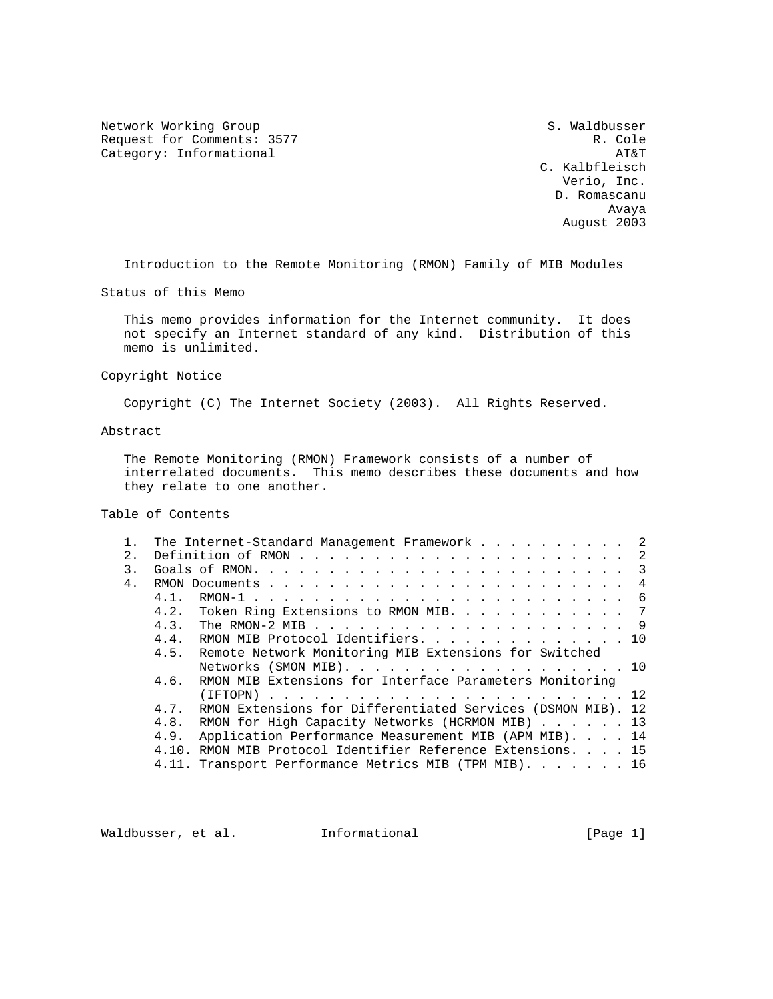Network Working Group S. Waldbusser Request for Comments: 3577 R. Cole<br>Category: Informational Research R. Cole Category: Informational

 C. Kalbfleisch Verio, Inc. D. Romascanu Avaya August 2003

Introduction to the Remote Monitoring (RMON) Family of MIB Modules

Status of this Memo

 This memo provides information for the Internet community. It does not specify an Internet standard of any kind. Distribution of this memo is unlimited.

Copyright Notice

Copyright (C) The Internet Society (2003). All Rights Reserved.

# Abstract

 The Remote Monitoring (RMON) Framework consists of a number of interrelated documents. This memo describes these documents and how they relate to one another.

# Table of Contents

|                |         | The Internet-Standard Management Framework 2                |
|----------------|---------|-------------------------------------------------------------|
| $2$ .          |         |                                                             |
| 3.             |         |                                                             |
| 4 <sub>1</sub> |         |                                                             |
|                | $4.1$ . |                                                             |
|                |         | 4.2. Token Ring Extensions to RMON MIB. 7                   |
|                |         |                                                             |
|                |         | 4.4. RMON MIB Protocol Identifiers. 10                      |
|                |         | 4.5. Remote Network Monitoring MIB Extensions for Switched  |
|                |         | Networks (SMON MIB). 10                                     |
|                | 4.6.    | RMON MIB Extensions for Interface Parameters Monitoring     |
|                |         |                                                             |
|                | 4 7     | RMON Extensions for Differentiated Services (DSMON MIB). 12 |
|                |         | 4.8. RMON for High Capacity Networks (HCRMON MIB) 13        |
|                | 4.9.    | Application Performance Measurement MIB (APM MIB). 14       |
|                |         | 4.10. RMON MIB Protocol Identifier Reference Extensions. 15 |
|                |         | 4.11. Transport Performance Metrics MIB (TPM MIB). 16       |
|                |         |                                                             |

Waldbusser, et al. 1nformational 1999 [Page 1]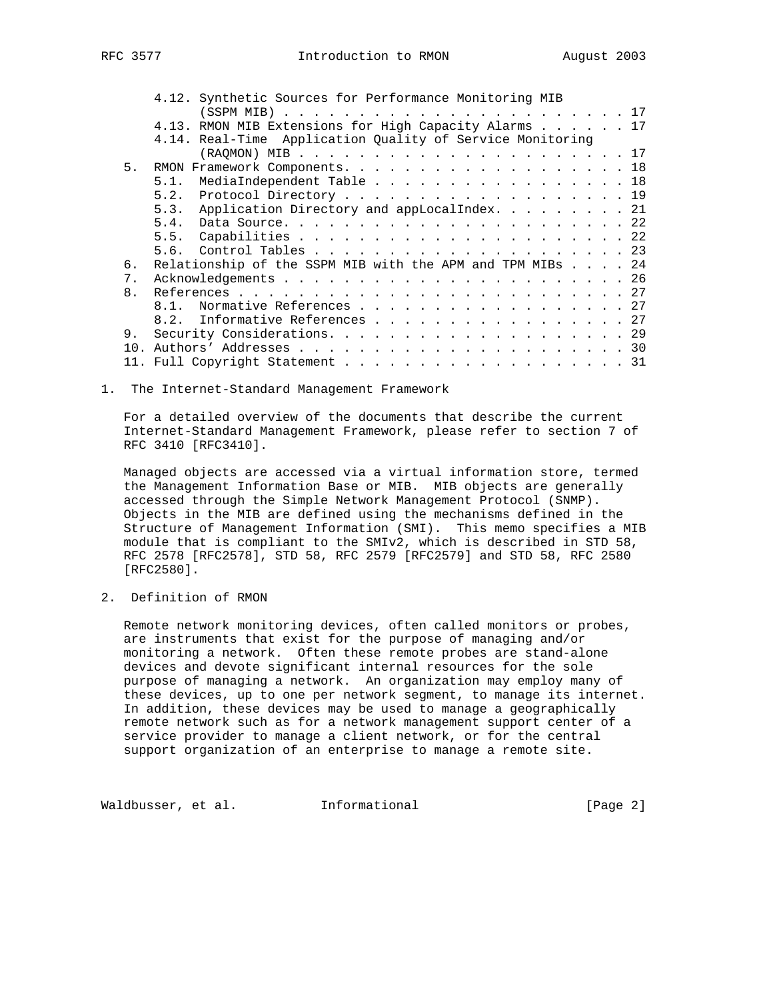|                 | 4.12. Synthetic Sources for Performance Monitoring MIB    |
|-----------------|-----------------------------------------------------------|
|                 |                                                           |
|                 | 4.13. RMON MIB Extensions for High Capacity Alarms 17     |
|                 | 4.14. Real-Time Application Quality of Service Monitoring |
|                 |                                                           |
| 5.              | RMON Framework Components. 18                             |
|                 | MediaIndependent Table 18<br>5.1.                         |
|                 | 5.2. Protocol Directory 19                                |
|                 | 5.3. Application Directory and appLocalIndex. 21          |
|                 |                                                           |
|                 |                                                           |
|                 |                                                           |
| 6.              | Relationship of the SSPM MIB with the APM and TPM MIBs 24 |
| 7.              |                                                           |
| 8 <sub>1</sub>  |                                                           |
|                 | Normative References 27<br>8 1                            |
|                 | 8.2. Informative References 27                            |
|                 |                                                           |
| 9.              |                                                           |
| 10 <sub>1</sub> |                                                           |
|                 | 11. Full Copyright Statement 31                           |

## 1. The Internet-Standard Management Framework

 For a detailed overview of the documents that describe the current Internet-Standard Management Framework, please refer to section 7 of RFC 3410 [RFC3410].

 Managed objects are accessed via a virtual information store, termed the Management Information Base or MIB. MIB objects are generally accessed through the Simple Network Management Protocol (SNMP). Objects in the MIB are defined using the mechanisms defined in the Structure of Management Information (SMI). This memo specifies a MIB module that is compliant to the SMIv2, which is described in STD 58, RFC 2578 [RFC2578], STD 58, RFC 2579 [RFC2579] and STD 58, RFC 2580 [RFC2580].

2. Definition of RMON

 Remote network monitoring devices, often called monitors or probes, are instruments that exist for the purpose of managing and/or monitoring a network. Often these remote probes are stand-alone devices and devote significant internal resources for the sole purpose of managing a network. An organization may employ many of these devices, up to one per network segment, to manage its internet. In addition, these devices may be used to manage a geographically remote network such as for a network management support center of a service provider to manage a client network, or for the central support organization of an enterprise to manage a remote site.

Waldbusser, et al. Informational [Page 2]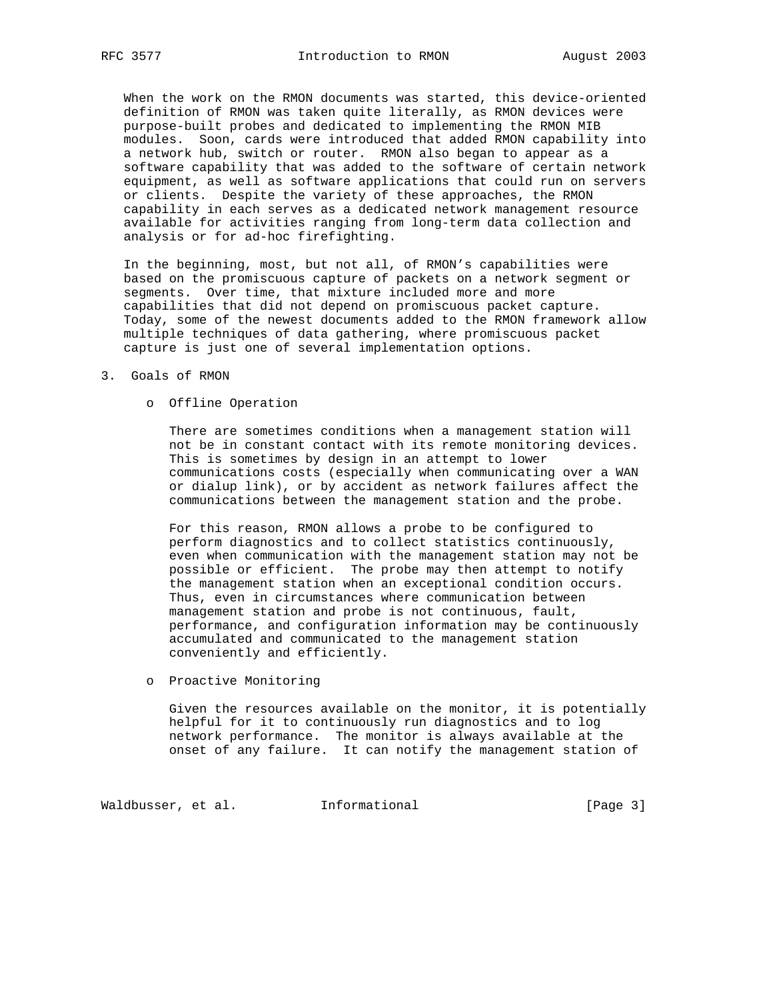When the work on the RMON documents was started, this device-oriented definition of RMON was taken quite literally, as RMON devices were purpose-built probes and dedicated to implementing the RMON MIB modules. Soon, cards were introduced that added RMON capability into a network hub, switch or router. RMON also began to appear as a software capability that was added to the software of certain network equipment, as well as software applications that could run on servers or clients. Despite the variety of these approaches, the RMON capability in each serves as a dedicated network management resource available for activities ranging from long-term data collection and analysis or for ad-hoc firefighting.

 In the beginning, most, but not all, of RMON's capabilities were based on the promiscuous capture of packets on a network segment or segments. Over time, that mixture included more and more capabilities that did not depend on promiscuous packet capture. Today, some of the newest documents added to the RMON framework allow multiple techniques of data gathering, where promiscuous packet capture is just one of several implementation options.

#### 3. Goals of RMON

o Offline Operation

 There are sometimes conditions when a management station will not be in constant contact with its remote monitoring devices. This is sometimes by design in an attempt to lower communications costs (especially when communicating over a WAN or dialup link), or by accident as network failures affect the communications between the management station and the probe.

 For this reason, RMON allows a probe to be configured to perform diagnostics and to collect statistics continuously, even when communication with the management station may not be possible or efficient. The probe may then attempt to notify the management station when an exceptional condition occurs. Thus, even in circumstances where communication between management station and probe is not continuous, fault, performance, and configuration information may be continuously accumulated and communicated to the management station conveniently and efficiently.

o Proactive Monitoring

 Given the resources available on the monitor, it is potentially helpful for it to continuously run diagnostics and to log network performance. The monitor is always available at the onset of any failure. It can notify the management station of

Waldbusser, et al. 1nformational 1999 [Page 3]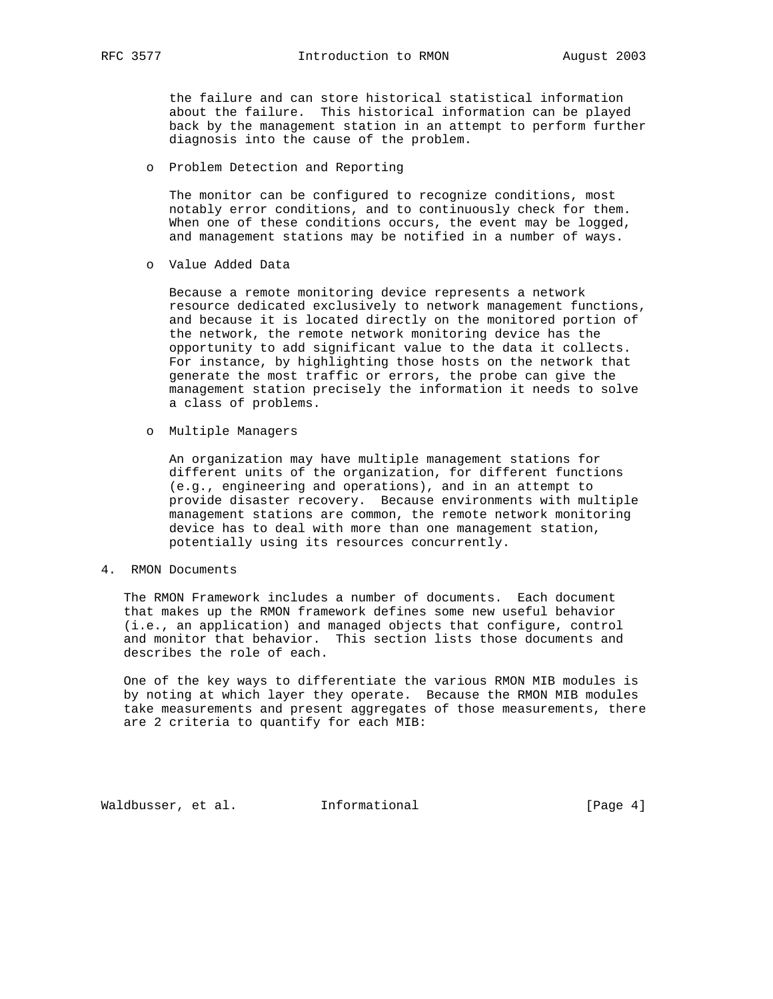the failure and can store historical statistical information about the failure. This historical information can be played back by the management station in an attempt to perform further diagnosis into the cause of the problem.

o Problem Detection and Reporting

 The monitor can be configured to recognize conditions, most notably error conditions, and to continuously check for them. When one of these conditions occurs, the event may be logged, and management stations may be notified in a number of ways.

o Value Added Data

 Because a remote monitoring device represents a network resource dedicated exclusively to network management functions, and because it is located directly on the monitored portion of the network, the remote network monitoring device has the opportunity to add significant value to the data it collects. For instance, by highlighting those hosts on the network that generate the most traffic or errors, the probe can give the management station precisely the information it needs to solve a class of problems.

o Multiple Managers

 An organization may have multiple management stations for different units of the organization, for different functions (e.g., engineering and operations), and in an attempt to provide disaster recovery. Because environments with multiple management stations are common, the remote network monitoring device has to deal with more than one management station, potentially using its resources concurrently.

4. RMON Documents

 The RMON Framework includes a number of documents. Each document that makes up the RMON framework defines some new useful behavior (i.e., an application) and managed objects that configure, control and monitor that behavior. This section lists those documents and describes the role of each.

 One of the key ways to differentiate the various RMON MIB modules is by noting at which layer they operate. Because the RMON MIB modules take measurements and present aggregates of those measurements, there are 2 criteria to quantify for each MIB:

Waldbusser, et al. 1nformational 1999 (Page 4)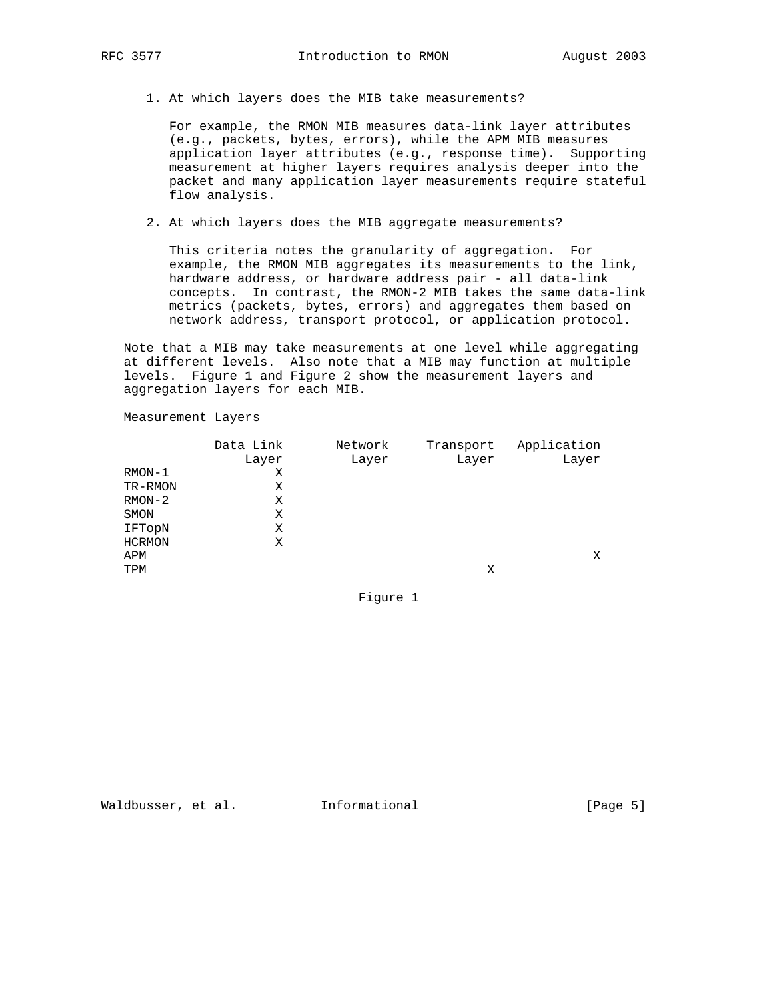1. At which layers does the MIB take measurements?

 For example, the RMON MIB measures data-link layer attributes (e.g., packets, bytes, errors), while the APM MIB measures application layer attributes (e.g., response time). Supporting measurement at higher layers requires analysis deeper into the packet and many application layer measurements require stateful flow analysis.

2. At which layers does the MIB aggregate measurements?

 This criteria notes the granularity of aggregation. For example, the RMON MIB aggregates its measurements to the link, hardware address, or hardware address pair - all data-link concepts. In contrast, the RMON-2 MIB takes the same data-link metrics (packets, bytes, errors) and aggregates them based on network address, transport protocol, or application protocol.

 Note that a MIB may take measurements at one level while aggregating at different levels. Also note that a MIB may function at multiple levels. Figure 1 and Figure 2 show the measurement layers and aggregation layers for each MIB.

Measurement Layers

|               | Data Link | Network | Transport | Application |
|---------------|-----------|---------|-----------|-------------|
|               | Layer     | Layer   | Layer     | Layer       |
| $RMON-1$      | Χ         |         |           |             |
| TR-RMON       | Χ         |         |           |             |
| $RMON-2$      | Χ         |         |           |             |
| SMON          | Χ         |         |           |             |
| IFTopN        | Χ         |         |           |             |
| <b>HCRMON</b> | Χ         |         |           |             |
| APM           |           |         |           | Χ           |
| TPM           |           |         | Χ         |             |
|               |           |         |           |             |

Figure 1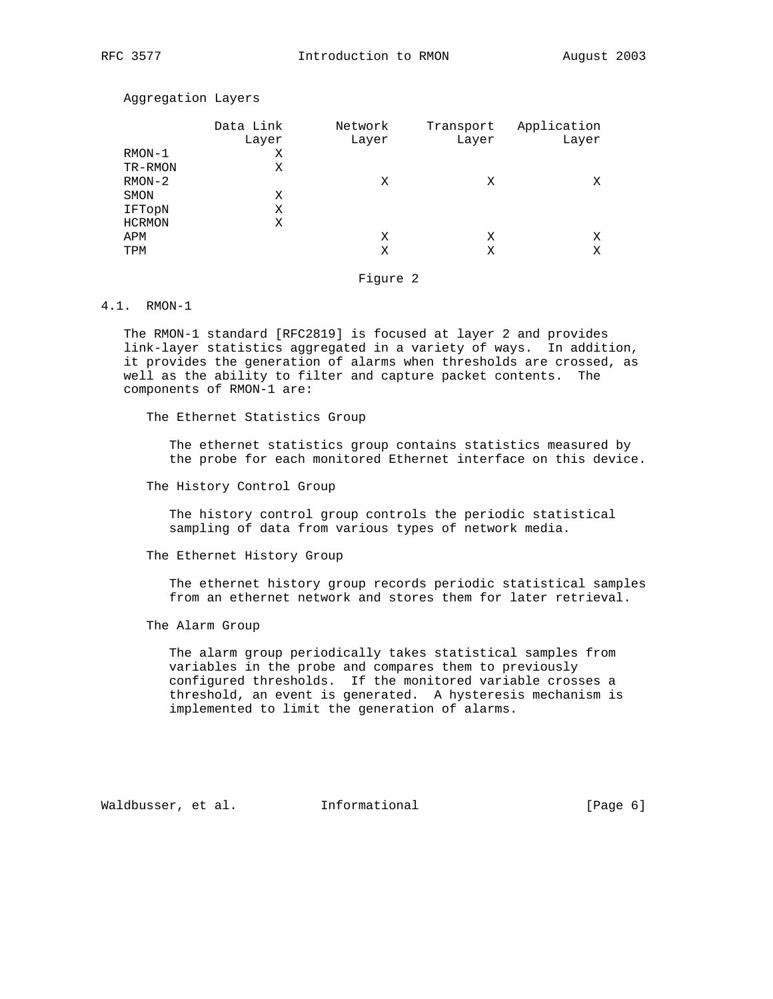Aggregation Layers

|               | Data Link<br>Layer | Network<br>Layer | Transport<br>Layer | Application<br>Layer |
|---------------|--------------------|------------------|--------------------|----------------------|
| $RMON-1$      | Χ                  |                  |                    |                      |
| TR-RMON       | Χ                  |                  |                    |                      |
| $RMON-2$      |                    | Χ                | Χ                  | X                    |
| SMON          | Χ                  |                  |                    |                      |
| IFTopN        | Χ                  |                  |                    |                      |
| <b>HCRMON</b> | Χ                  |                  |                    |                      |
| APM           |                    | Χ                | Χ                  | X                    |
| TPM           |                    | Χ                | Χ                  | Χ                    |
|               |                    |                  |                    |                      |

Figure 2

# 4.1. RMON-1

 The RMON-1 standard [RFC2819] is focused at layer 2 and provides link-layer statistics aggregated in a variety of ways. In addition, it provides the generation of alarms when thresholds are crossed, as well as the ability to filter and capture packet contents. The components of RMON-1 are:

The Ethernet Statistics Group

 The ethernet statistics group contains statistics measured by the probe for each monitored Ethernet interface on this device.

The History Control Group

 The history control group controls the periodic statistical sampling of data from various types of network media.

The Ethernet History Group

 The ethernet history group records periodic statistical samples from an ethernet network and stores them for later retrieval.

The Alarm Group

 The alarm group periodically takes statistical samples from variables in the probe and compares them to previously configured thresholds. If the monitored variable crosses a threshold, an event is generated. A hysteresis mechanism is implemented to limit the generation of alarms.

Waldbusser, et al. 1nformational (Page 6)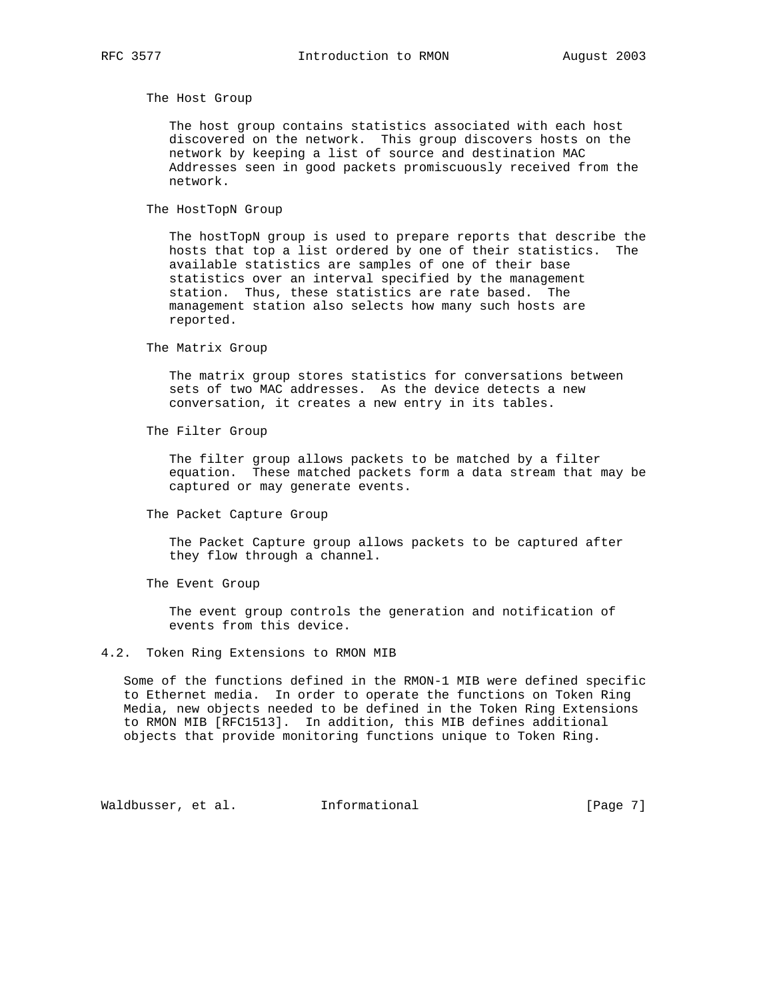The Host Group

 The host group contains statistics associated with each host discovered on the network. This group discovers hosts on the network by keeping a list of source and destination MAC Addresses seen in good packets promiscuously received from the network.

The HostTopN Group

 The hostTopN group is used to prepare reports that describe the hosts that top a list ordered by one of their statistics. The available statistics are samples of one of their base statistics over an interval specified by the management station. Thus, these statistics are rate based. The management station also selects how many such hosts are reported.

The Matrix Group

 The matrix group stores statistics for conversations between sets of two MAC addresses. As the device detects a new conversation, it creates a new entry in its tables.

The Filter Group

 The filter group allows packets to be matched by a filter equation. These matched packets form a data stream that may be captured or may generate events.

The Packet Capture Group

 The Packet Capture group allows packets to be captured after they flow through a channel.

The Event Group

 The event group controls the generation and notification of events from this device.

## 4.2. Token Ring Extensions to RMON MIB

 Some of the functions defined in the RMON-1 MIB were defined specific to Ethernet media. In order to operate the functions on Token Ring Media, new objects needed to be defined in the Token Ring Extensions to RMON MIB [RFC1513]. In addition, this MIB defines additional objects that provide monitoring functions unique to Token Ring.

Waldbusser, et al. 1nformational [Page 7]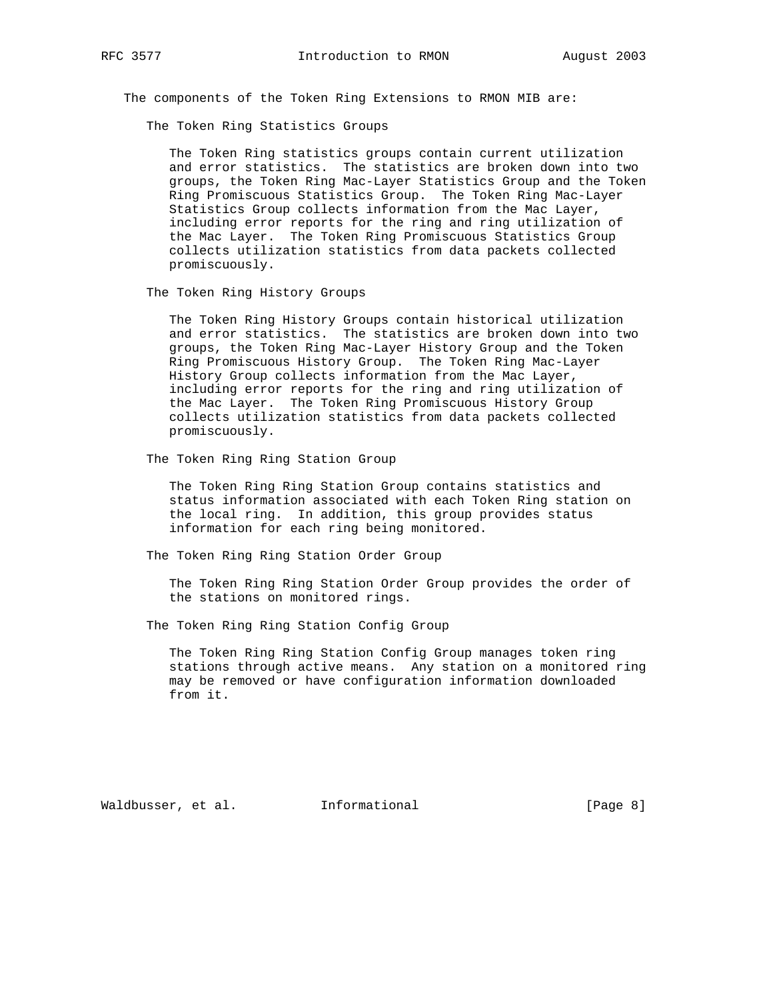The components of the Token Ring Extensions to RMON MIB are:

The Token Ring Statistics Groups

 The Token Ring statistics groups contain current utilization and error statistics. The statistics are broken down into two groups, the Token Ring Mac-Layer Statistics Group and the Token Ring Promiscuous Statistics Group. The Token Ring Mac-Layer Statistics Group collects information from the Mac Layer, including error reports for the ring and ring utilization of the Mac Layer. The Token Ring Promiscuous Statistics Group collects utilization statistics from data packets collected promiscuously.

The Token Ring History Groups

 The Token Ring History Groups contain historical utilization and error statistics. The statistics are broken down into two groups, the Token Ring Mac-Layer History Group and the Token Ring Promiscuous History Group. The Token Ring Mac-Layer History Group collects information from the Mac Layer, including error reports for the ring and ring utilization of the Mac Layer. The Token Ring Promiscuous History Group collects utilization statistics from data packets collected promiscuously.

The Token Ring Ring Station Group

 The Token Ring Ring Station Group contains statistics and status information associated with each Token Ring station on the local ring. In addition, this group provides status information for each ring being monitored.

The Token Ring Ring Station Order Group

 The Token Ring Ring Station Order Group provides the order of the stations on monitored rings.

The Token Ring Ring Station Config Group

 The Token Ring Ring Station Config Group manages token ring stations through active means. Any station on a monitored ring may be removed or have configuration information downloaded from it.

Waldbusser, et al. 1nformational 1999 (Page 8)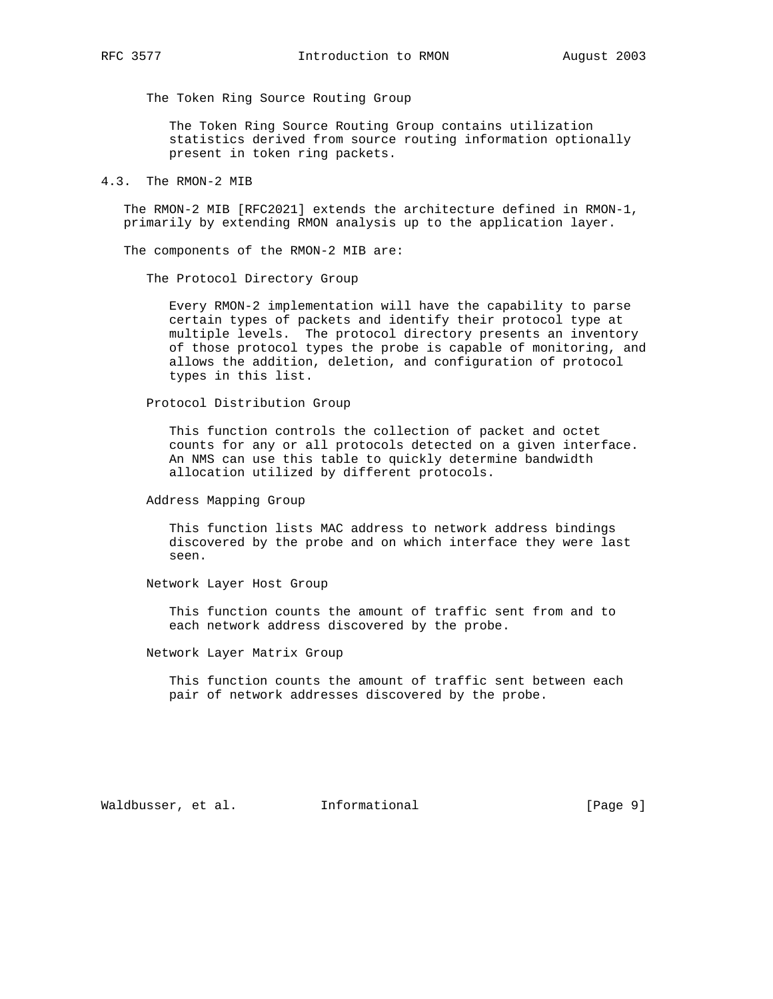The Token Ring Source Routing Group

 The Token Ring Source Routing Group contains utilization statistics derived from source routing information optionally present in token ring packets.

4.3. The RMON-2 MIB

 The RMON-2 MIB [RFC2021] extends the architecture defined in RMON-1, primarily by extending RMON analysis up to the application layer.

The components of the RMON-2 MIB are:

The Protocol Directory Group

 Every RMON-2 implementation will have the capability to parse certain types of packets and identify their protocol type at multiple levels. The protocol directory presents an inventory of those protocol types the probe is capable of monitoring, and allows the addition, deletion, and configuration of protocol types in this list.

Protocol Distribution Group

 This function controls the collection of packet and octet counts for any or all protocols detected on a given interface. An NMS can use this table to quickly determine bandwidth allocation utilized by different protocols.

Address Mapping Group

 This function lists MAC address to network address bindings discovered by the probe and on which interface they were last seen.

Network Layer Host Group

 This function counts the amount of traffic sent from and to each network address discovered by the probe.

Network Layer Matrix Group

 This function counts the amount of traffic sent between each pair of network addresses discovered by the probe.

Waldbusser, et al. Informational [Page 9]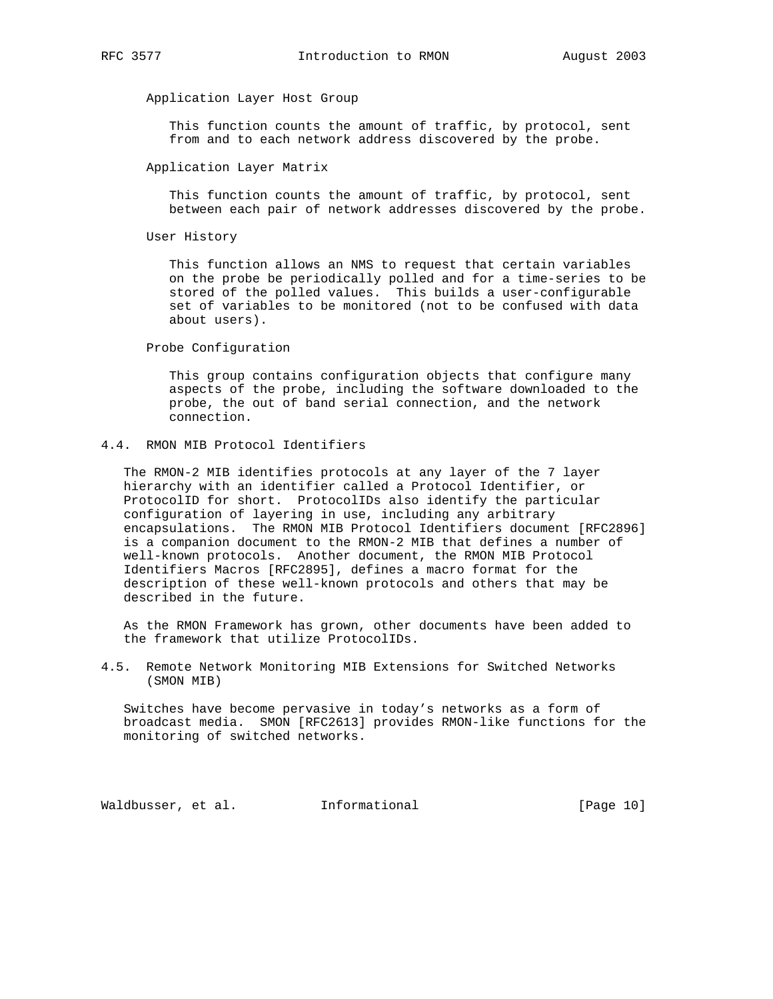# Application Layer Host Group

 This function counts the amount of traffic, by protocol, sent from and to each network address discovered by the probe.

#### Application Layer Matrix

 This function counts the amount of traffic, by protocol, sent between each pair of network addresses discovered by the probe.

User History

 This function allows an NMS to request that certain variables on the probe be periodically polled and for a time-series to be stored of the polled values. This builds a user-configurable set of variables to be monitored (not to be confused with data about users).

Probe Configuration

 This group contains configuration objects that configure many aspects of the probe, including the software downloaded to the probe, the out of band serial connection, and the network connection.

# 4.4. RMON MIB Protocol Identifiers

 The RMON-2 MIB identifies protocols at any layer of the 7 layer hierarchy with an identifier called a Protocol Identifier, or ProtocolID for short. ProtocolIDs also identify the particular configuration of layering in use, including any arbitrary encapsulations. The RMON MIB Protocol Identifiers document [RFC2896] is a companion document to the RMON-2 MIB that defines a number of well-known protocols. Another document, the RMON MIB Protocol Identifiers Macros [RFC2895], defines a macro format for the description of these well-known protocols and others that may be described in the future.

 As the RMON Framework has grown, other documents have been added to the framework that utilize ProtocolIDs.

4.5. Remote Network Monitoring MIB Extensions for Switched Networks (SMON MIB)

 Switches have become pervasive in today's networks as a form of broadcast media. SMON [RFC2613] provides RMON-like functions for the monitoring of switched networks.

Waldbusser, et al.  $I_n$ Informational [Page 10]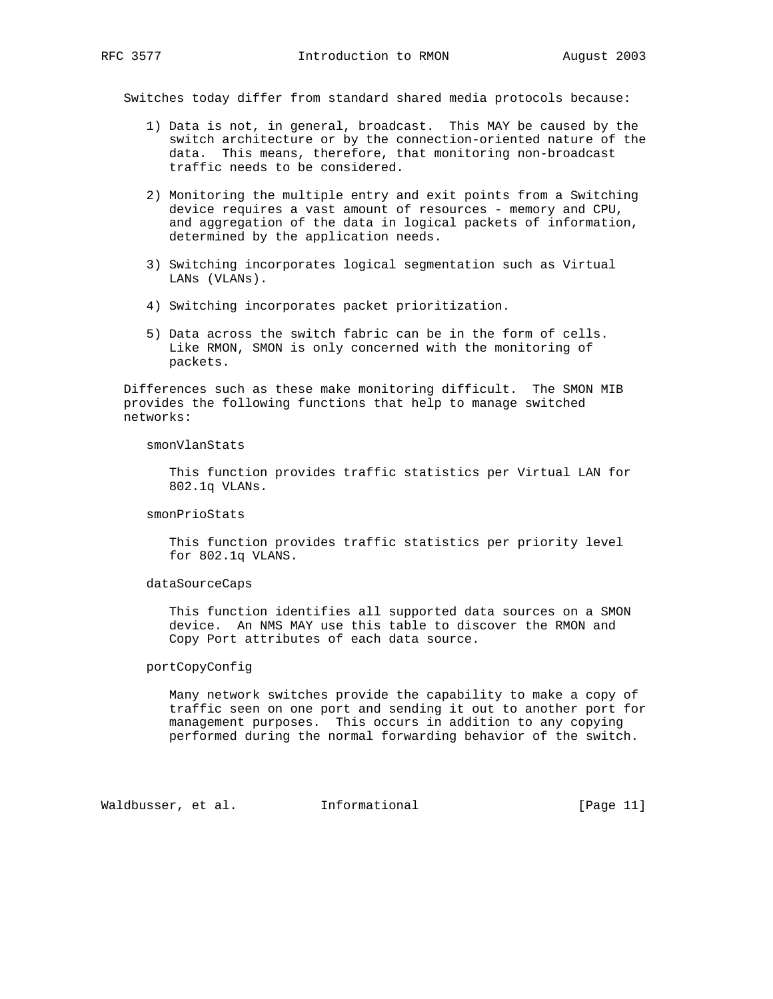Switches today differ from standard shared media protocols because:

- 1) Data is not, in general, broadcast. This MAY be caused by the switch architecture or by the connection-oriented nature of the data. This means, therefore, that monitoring non-broadcast traffic needs to be considered.
- 2) Monitoring the multiple entry and exit points from a Switching device requires a vast amount of resources - memory and CPU, and aggregation of the data in logical packets of information, determined by the application needs.
- 3) Switching incorporates logical segmentation such as Virtual LANs (VLANs).
- 4) Switching incorporates packet prioritization.
- 5) Data across the switch fabric can be in the form of cells. Like RMON, SMON is only concerned with the monitoring of packets.

 Differences such as these make monitoring difficult. The SMON MIB provides the following functions that help to manage switched networks:

#### smonVlanStats

 This function provides traffic statistics per Virtual LAN for 802.1q VLANs.

## smonPrioStats

 This function provides traffic statistics per priority level for 802.1q VLANS.

### dataSourceCaps

 This function identifies all supported data sources on a SMON device. An NMS MAY use this table to discover the RMON and Copy Port attributes of each data source.

# portCopyConfig

 Many network switches provide the capability to make a copy of traffic seen on one port and sending it out to another port for management purposes. This occurs in addition to any copying performed during the normal forwarding behavior of the switch.

Waldbusser, et al. Informational [Page 11]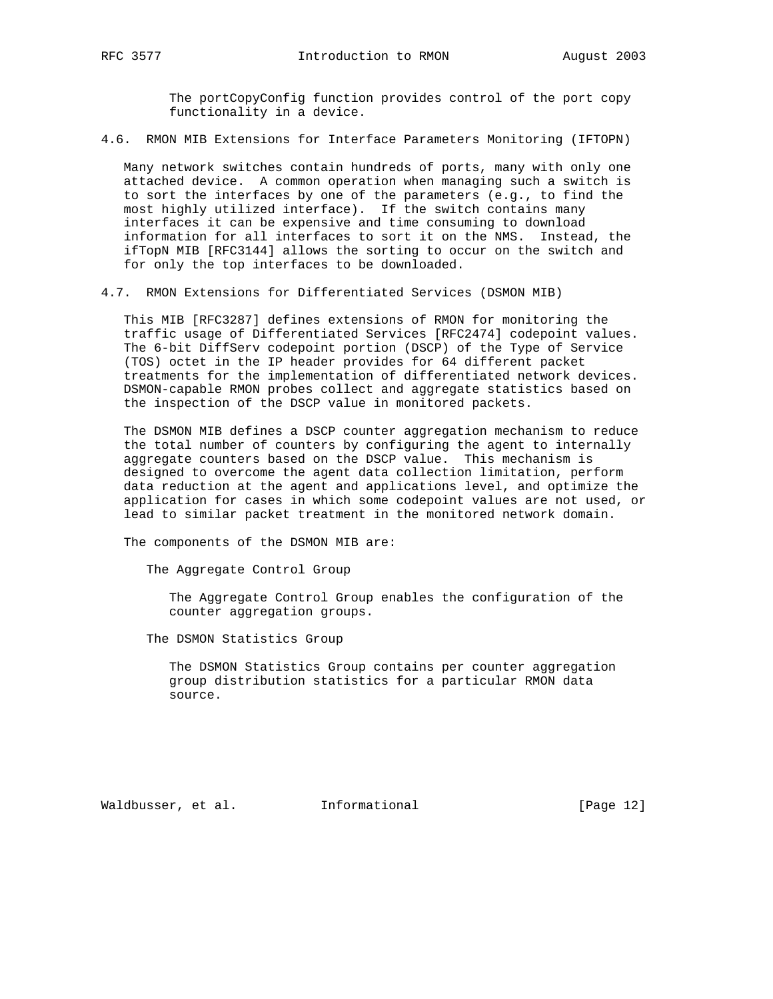The portCopyConfig function provides control of the port copy functionality in a device.

4.6. RMON MIB Extensions for Interface Parameters Monitoring (IFTOPN)

 Many network switches contain hundreds of ports, many with only one attached device. A common operation when managing such a switch is to sort the interfaces by one of the parameters (e.g., to find the most highly utilized interface). If the switch contains many interfaces it can be expensive and time consuming to download information for all interfaces to sort it on the NMS. Instead, the ifTopN MIB [RFC3144] allows the sorting to occur on the switch and for only the top interfaces to be downloaded.

4.7. RMON Extensions for Differentiated Services (DSMON MIB)

 This MIB [RFC3287] defines extensions of RMON for monitoring the traffic usage of Differentiated Services [RFC2474] codepoint values. The 6-bit DiffServ codepoint portion (DSCP) of the Type of Service (TOS) octet in the IP header provides for 64 different packet treatments for the implementation of differentiated network devices. DSMON-capable RMON probes collect and aggregate statistics based on the inspection of the DSCP value in monitored packets.

 The DSMON MIB defines a DSCP counter aggregation mechanism to reduce the total number of counters by configuring the agent to internally aggregate counters based on the DSCP value. This mechanism is designed to overcome the agent data collection limitation, perform data reduction at the agent and applications level, and optimize the application for cases in which some codepoint values are not used, or lead to similar packet treatment in the monitored network domain.

The components of the DSMON MIB are:

The Aggregate Control Group

 The Aggregate Control Group enables the configuration of the counter aggregation groups.

The DSMON Statistics Group

 The DSMON Statistics Group contains per counter aggregation group distribution statistics for a particular RMON data source.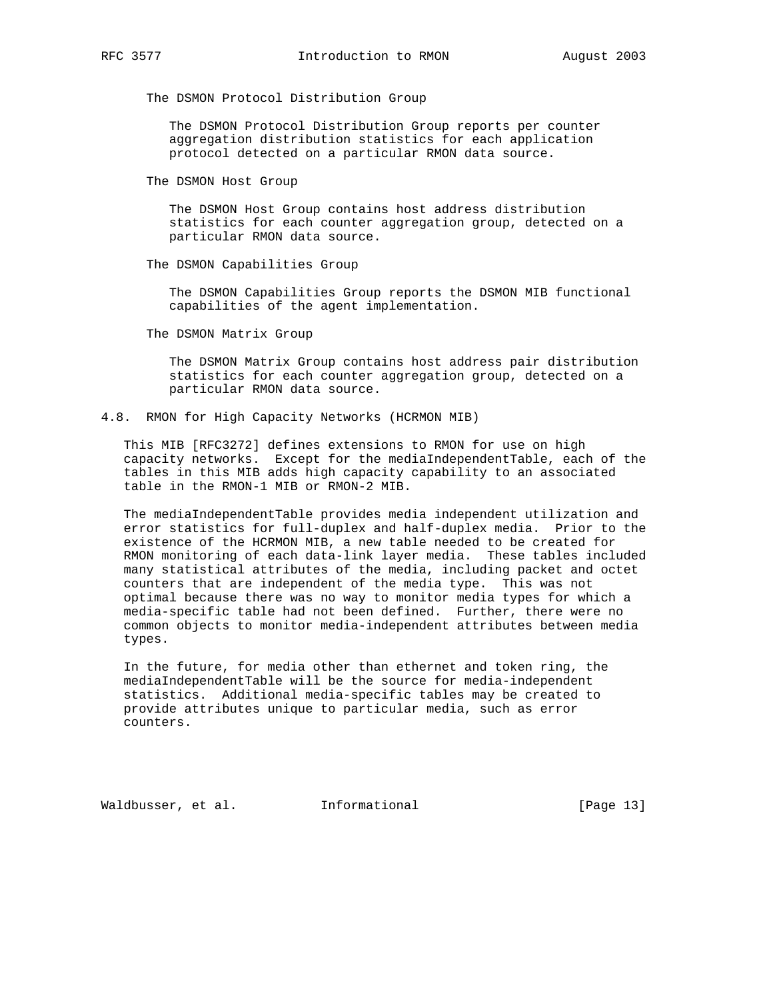The DSMON Protocol Distribution Group

 The DSMON Protocol Distribution Group reports per counter aggregation distribution statistics for each application protocol detected on a particular RMON data source.

The DSMON Host Group

 The DSMON Host Group contains host address distribution statistics for each counter aggregation group, detected on a particular RMON data source.

The DSMON Capabilities Group

 The DSMON Capabilities Group reports the DSMON MIB functional capabilities of the agent implementation.

The DSMON Matrix Group

 The DSMON Matrix Group contains host address pair distribution statistics for each counter aggregation group, detected on a particular RMON data source.

4.8. RMON for High Capacity Networks (HCRMON MIB)

 This MIB [RFC3272] defines extensions to RMON for use on high capacity networks. Except for the mediaIndependentTable, each of the tables in this MIB adds high capacity capability to an associated table in the RMON-1 MIB or RMON-2 MIB.

 The mediaIndependentTable provides media independent utilization and error statistics for full-duplex and half-duplex media. Prior to the existence of the HCRMON MIB, a new table needed to be created for RMON monitoring of each data-link layer media. These tables included many statistical attributes of the media, including packet and octet counters that are independent of the media type. This was not optimal because there was no way to monitor media types for which a media-specific table had not been defined. Further, there were no common objects to monitor media-independent attributes between media types.

 In the future, for media other than ethernet and token ring, the mediaIndependentTable will be the source for media-independent statistics. Additional media-specific tables may be created to provide attributes unique to particular media, such as error counters.

Waldbusser, et al.  $I_n$ Informational [Page 13]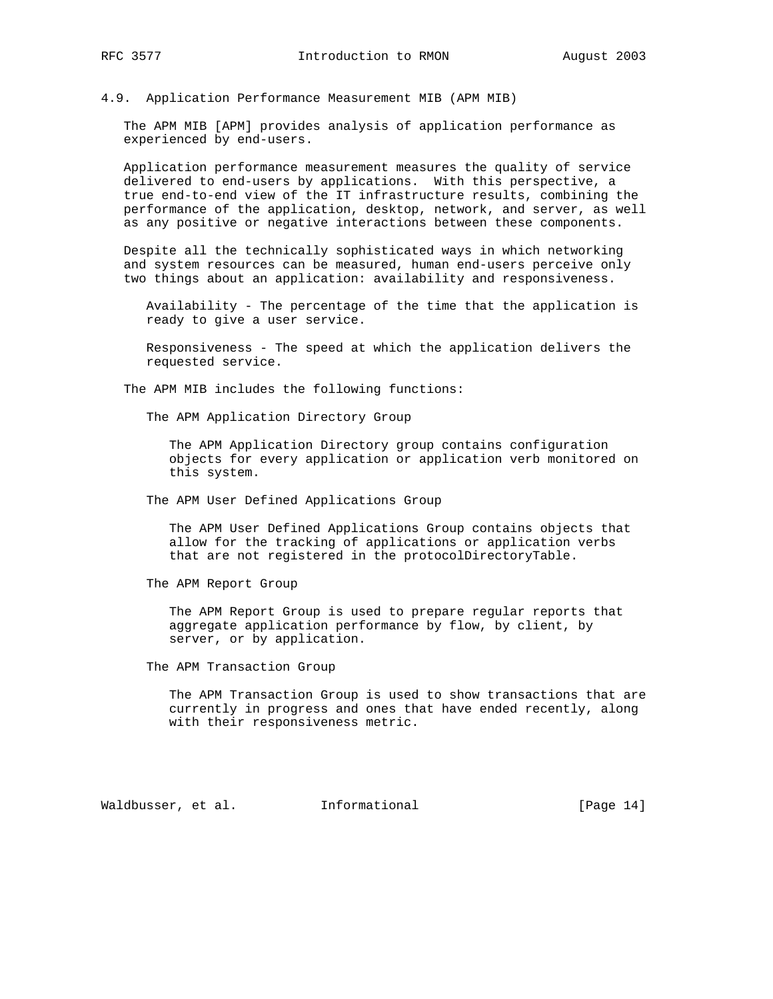The APM MIB [APM] provides analysis of application performance as experienced by end-users.

 Application performance measurement measures the quality of service delivered to end-users by applications. With this perspective, a true end-to-end view of the IT infrastructure results, combining the performance of the application, desktop, network, and server, as well as any positive or negative interactions between these components.

 Despite all the technically sophisticated ways in which networking and system resources can be measured, human end-users perceive only two things about an application: availability and responsiveness.

 Availability - The percentage of the time that the application is ready to give a user service.

 Responsiveness - The speed at which the application delivers the requested service.

The APM MIB includes the following functions:

The APM Application Directory Group

 The APM Application Directory group contains configuration objects for every application or application verb monitored on this system.

The APM User Defined Applications Group

 The APM User Defined Applications Group contains objects that allow for the tracking of applications or application verbs that are not registered in the protocolDirectoryTable.

The APM Report Group

 The APM Report Group is used to prepare regular reports that aggregate application performance by flow, by client, by server, or by application.

The APM Transaction Group

 The APM Transaction Group is used to show transactions that are currently in progress and ones that have ended recently, along with their responsiveness metric.

Waldbusser, et al. Informational [Page 14]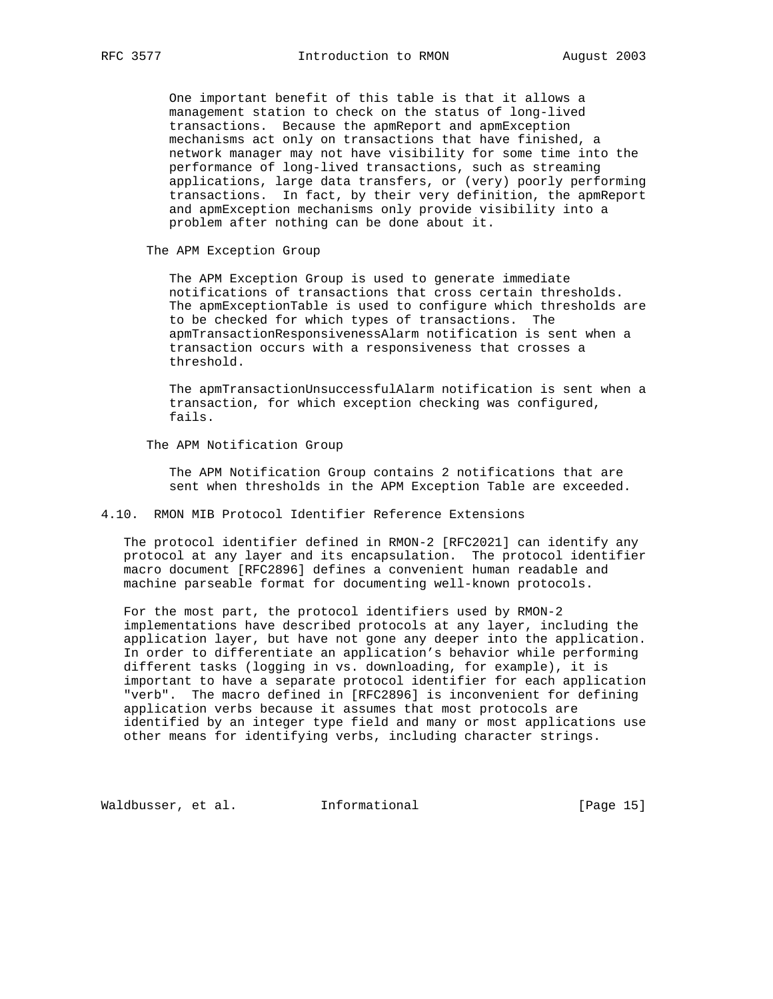One important benefit of this table is that it allows a management station to check on the status of long-lived transactions. Because the apmReport and apmException mechanisms act only on transactions that have finished, a network manager may not have visibility for some time into the performance of long-lived transactions, such as streaming applications, large data transfers, or (very) poorly performing transactions. In fact, by their very definition, the apmReport and apmException mechanisms only provide visibility into a problem after nothing can be done about it.

The APM Exception Group

 The APM Exception Group is used to generate immediate notifications of transactions that cross certain thresholds. The apmExceptionTable is used to configure which thresholds are to be checked for which types of transactions. The apmTransactionResponsivenessAlarm notification is sent when a transaction occurs with a responsiveness that crosses a threshold.

 The apmTransactionUnsuccessfulAlarm notification is sent when a transaction, for which exception checking was configured, fails.

The APM Notification Group

 The APM Notification Group contains 2 notifications that are sent when thresholds in the APM Exception Table are exceeded.

#### 4.10. RMON MIB Protocol Identifier Reference Extensions

 The protocol identifier defined in RMON-2 [RFC2021] can identify any protocol at any layer and its encapsulation. The protocol identifier macro document [RFC2896] defines a convenient human readable and machine parseable format for documenting well-known protocols.

 For the most part, the protocol identifiers used by RMON-2 implementations have described protocols at any layer, including the application layer, but have not gone any deeper into the application. In order to differentiate an application's behavior while performing different tasks (logging in vs. downloading, for example), it is important to have a separate protocol identifier for each application "verb". The macro defined in [RFC2896] is inconvenient for defining application verbs because it assumes that most protocols are identified by an integer type field and many or most applications use other means for identifying verbs, including character strings.

Waldbusser, et al. 1nformational 1999 [Page 15]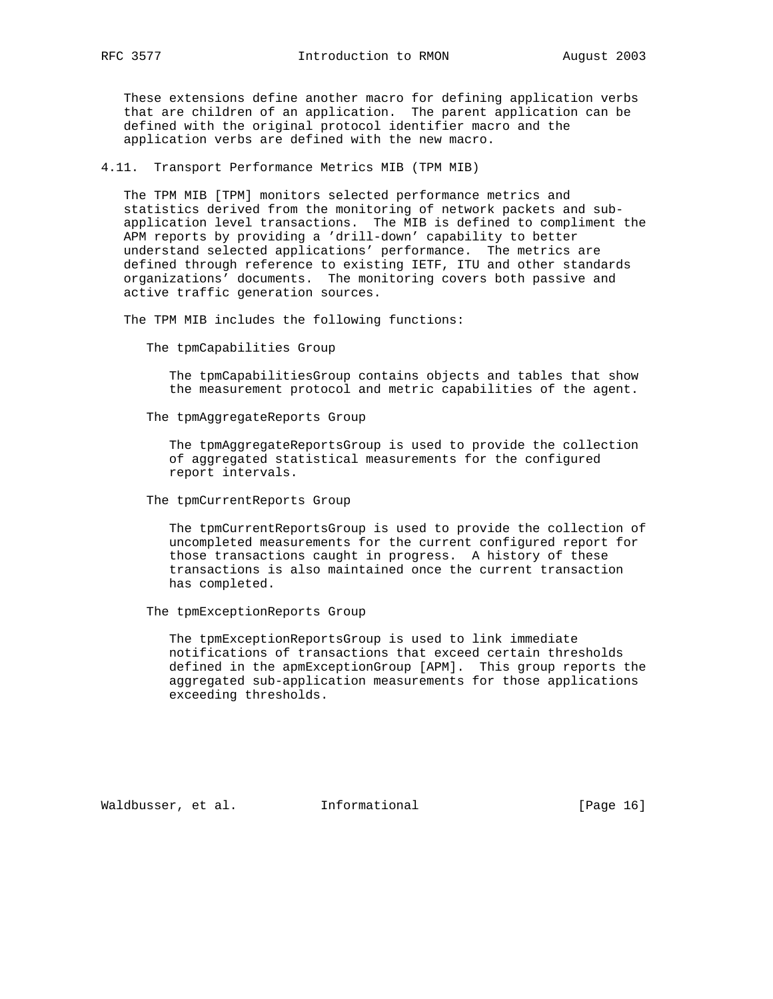These extensions define another macro for defining application verbs that are children of an application. The parent application can be defined with the original protocol identifier macro and the application verbs are defined with the new macro.

4.11. Transport Performance Metrics MIB (TPM MIB)

 The TPM MIB [TPM] monitors selected performance metrics and statistics derived from the monitoring of network packets and sub application level transactions. The MIB is defined to compliment the APM reports by providing a 'drill-down' capability to better understand selected applications' performance. The metrics are defined through reference to existing IETF, ITU and other standards organizations' documents. The monitoring covers both passive and active traffic generation sources.

The TPM MIB includes the following functions:

The tpmCapabilities Group

 The tpmCapabilitiesGroup contains objects and tables that show the measurement protocol and metric capabilities of the agent.

The tpmAggregateReports Group

 The tpmAggregateReportsGroup is used to provide the collection of aggregated statistical measurements for the configured report intervals.

The tpmCurrentReports Group

 The tpmCurrentReportsGroup is used to provide the collection of uncompleted measurements for the current configured report for those transactions caught in progress. A history of these transactions is also maintained once the current transaction has completed.

The tpmExceptionReports Group

 The tpmExceptionReportsGroup is used to link immediate notifications of transactions that exceed certain thresholds defined in the apmExceptionGroup [APM]. This group reports the aggregated sub-application measurements for those applications exceeding thresholds.

Waldbusser, et al. 1nformational [Page 16]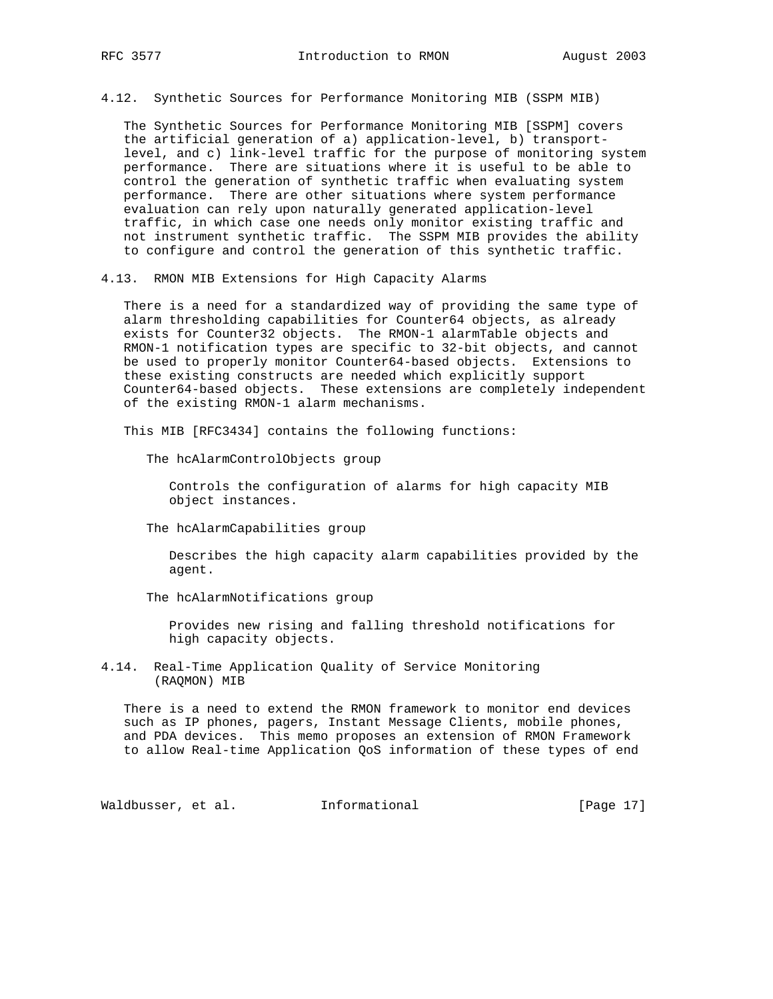4.12. Synthetic Sources for Performance Monitoring MIB (SSPM MIB)

 The Synthetic Sources for Performance Monitoring MIB [SSPM] covers the artificial generation of a) application-level, b) transport level, and c) link-level traffic for the purpose of monitoring system performance. There are situations where it is useful to be able to control the generation of synthetic traffic when evaluating system performance. There are other situations where system performance evaluation can rely upon naturally generated application-level traffic, in which case one needs only monitor existing traffic and not instrument synthetic traffic. The SSPM MIB provides the ability to configure and control the generation of this synthetic traffic.

4.13. RMON MIB Extensions for High Capacity Alarms

 There is a need for a standardized way of providing the same type of alarm thresholding capabilities for Counter64 objects, as already exists for Counter32 objects. The RMON-1 alarmTable objects and RMON-1 notification types are specific to 32-bit objects, and cannot be used to properly monitor Counter64-based objects. Extensions to these existing constructs are needed which explicitly support Counter64-based objects. These extensions are completely independent of the existing RMON-1 alarm mechanisms.

This MIB [RFC3434] contains the following functions:

The hcAlarmControlObjects group

 Controls the configuration of alarms for high capacity MIB object instances.

The hcAlarmCapabilities group

 Describes the high capacity alarm capabilities provided by the agent.

The hcAlarmNotifications group

 Provides new rising and falling threshold notifications for high capacity objects.

4.14. Real-Time Application Quality of Service Monitoring (RAQMON) MIB

 There is a need to extend the RMON framework to monitor end devices such as IP phones, pagers, Instant Message Clients, mobile phones, and PDA devices. This memo proposes an extension of RMON Framework to allow Real-time Application QoS information of these types of end

Waldbusser, et al. 1nformational 1999 [Page 17]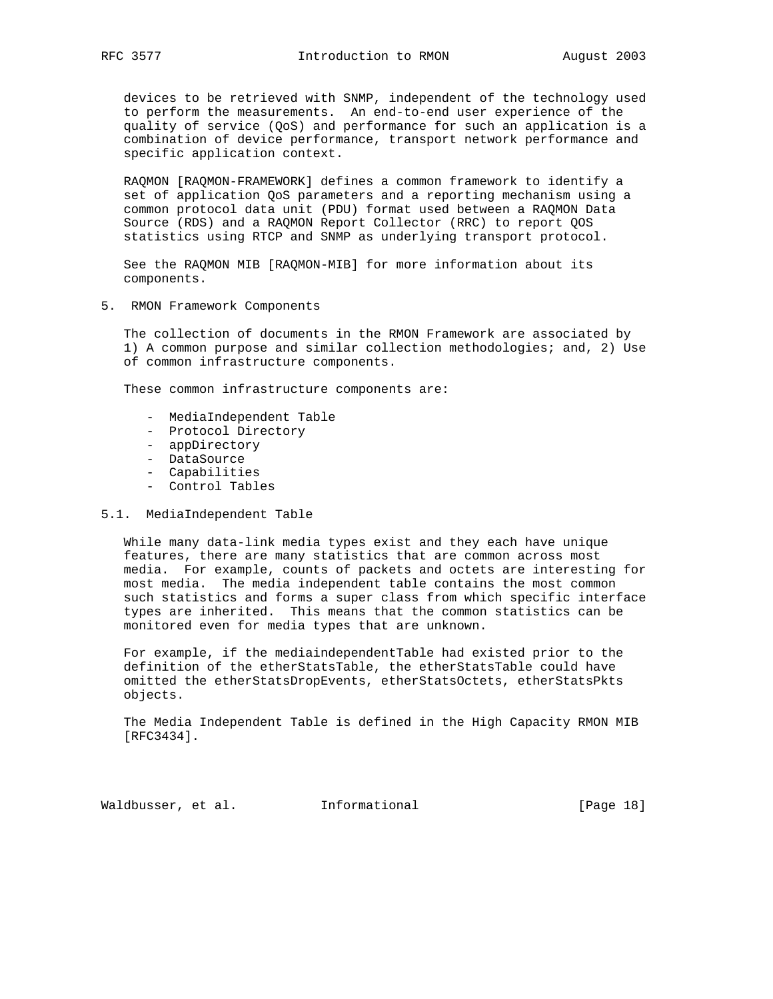devices to be retrieved with SNMP, independent of the technology used to perform the measurements. An end-to-end user experience of the quality of service (QoS) and performance for such an application is a combination of device performance, transport network performance and specific application context.

 RAQMON [RAQMON-FRAMEWORK] defines a common framework to identify a set of application QoS parameters and a reporting mechanism using a common protocol data unit (PDU) format used between a RAQMON Data Source (RDS) and a RAQMON Report Collector (RRC) to report QOS statistics using RTCP and SNMP as underlying transport protocol.

 See the RAQMON MIB [RAQMON-MIB] for more information about its components.

5. RMON Framework Components

 The collection of documents in the RMON Framework are associated by 1) A common purpose and similar collection methodologies; and, 2) Use of common infrastructure components.

These common infrastructure components are:

- MediaIndependent Table
- Protocol Directory
- appDirectory
- DataSource
	- Capabilities
	- Control Tables

# 5.1. MediaIndependent Table

 While many data-link media types exist and they each have unique features, there are many statistics that are common across most media. For example, counts of packets and octets are interesting for most media. The media independent table contains the most common such statistics and forms a super class from which specific interface types are inherited. This means that the common statistics can be monitored even for media types that are unknown.

 For example, if the mediaindependentTable had existed prior to the definition of the etherStatsTable, the etherStatsTable could have omitted the etherStatsDropEvents, etherStatsOctets, etherStatsPkts objects.

 The Media Independent Table is defined in the High Capacity RMON MIB [RFC3434].

Waldbusser, et al. Informational [Page 18]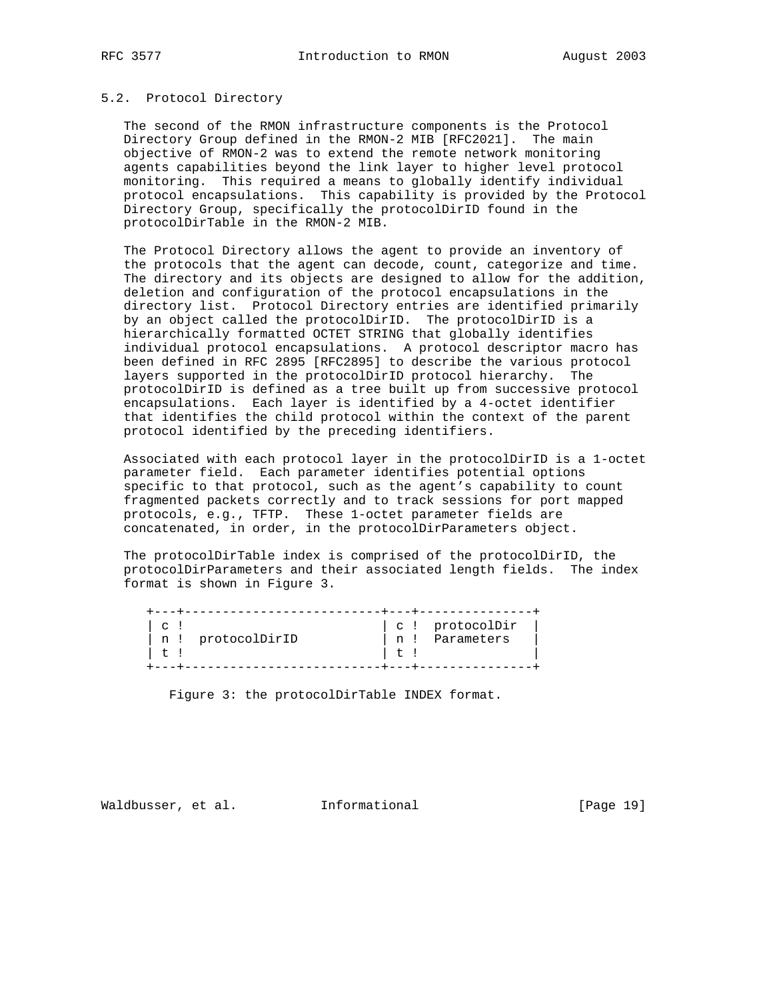## 5.2. Protocol Directory

 The second of the RMON infrastructure components is the Protocol Directory Group defined in the RMON-2 MIB [RFC2021]. The main objective of RMON-2 was to extend the remote network monitoring agents capabilities beyond the link layer to higher level protocol monitoring. This required a means to globally identify individual protocol encapsulations. This capability is provided by the Protocol Directory Group, specifically the protocolDirID found in the protocolDirTable in the RMON-2 MIB.

 The Protocol Directory allows the agent to provide an inventory of the protocols that the agent can decode, count, categorize and time. The directory and its objects are designed to allow for the addition, deletion and configuration of the protocol encapsulations in the directory list. Protocol Directory entries are identified primarily by an object called the protocolDirID. The protocolDirID is a hierarchically formatted OCTET STRING that globally identifies individual protocol encapsulations. A protocol descriptor macro has been defined in RFC 2895 [RFC2895] to describe the various protocol layers supported in the protocolDirID protocol hierarchy. The protocolDirID is defined as a tree built up from successive protocol encapsulations. Each layer is identified by a 4-octet identifier that identifies the child protocol within the context of the parent protocol identified by the preceding identifiers.

 Associated with each protocol layer in the protocolDirID is a 1-octet parameter field. Each parameter identifies potential options specific to that protocol, such as the agent's capability to count fragmented packets correctly and to track sessions for port mapped protocols, e.g., TFTP. These 1-octet parameter fields are concatenated, in order, in the protocolDirParameters object.

 The protocolDirTable index is comprised of the protocolDirID, the protocolDirParameters and their associated length fields. The index format is shown in Figure 3.

| C<br>n ! | protocolDirID | n <sub>1</sub> | c ! protocolDir<br>Parameters |
|----------|---------------|----------------|-------------------------------|
|          |               |                |                               |

Figure 3: the protocolDirTable INDEX format.

Waldbusser, et al.  $I_n$ Informational [Page 19]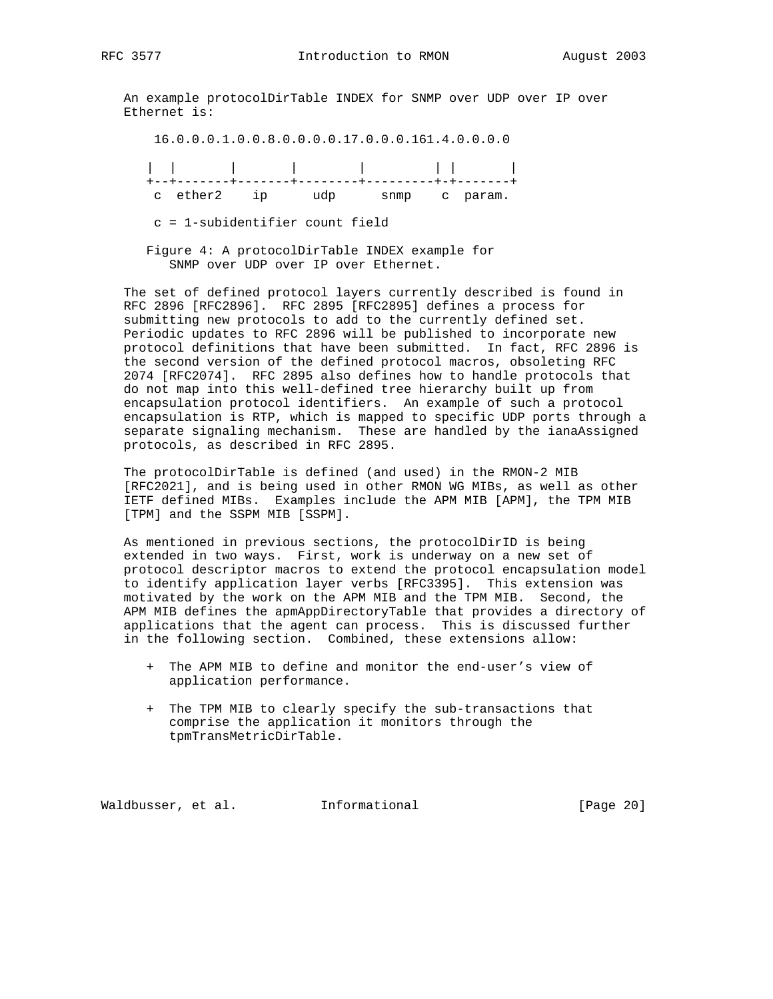An example protocolDirTable INDEX for SNMP over UDP over IP over Ethernet is:

 16.0.0.0.1.0.0.8.0.0.0.0.17.0.0.0.161.4.0.0.0.0 | | | | | | | |

 +--+-------+-------+--------+---------+-+-------+ c ether2 ip udp snmp c param.

c = 1-subidentifier count field

 Figure 4: A protocolDirTable INDEX example for SNMP over UDP over IP over Ethernet.

 The set of defined protocol layers currently described is found in RFC 2896 [RFC2896]. RFC 2895 [RFC2895] defines a process for submitting new protocols to add to the currently defined set. Periodic updates to RFC 2896 will be published to incorporate new protocol definitions that have been submitted. In fact, RFC 2896 is the second version of the defined protocol macros, obsoleting RFC 2074 [RFC2074]. RFC 2895 also defines how to handle protocols that do not map into this well-defined tree hierarchy built up from encapsulation protocol identifiers. An example of such a protocol encapsulation is RTP, which is mapped to specific UDP ports through a separate signaling mechanism. These are handled by the ianaAssigned protocols, as described in RFC 2895.

 The protocolDirTable is defined (and used) in the RMON-2 MIB [RFC2021], and is being used in other RMON WG MIBs, as well as other IETF defined MIBs. Examples include the APM MIB [APM], the TPM MIB [TPM] and the SSPM MIB [SSPM].

 As mentioned in previous sections, the protocolDirID is being extended in two ways. First, work is underway on a new set of protocol descriptor macros to extend the protocol encapsulation model to identify application layer verbs [RFC3395]. This extension was motivated by the work on the APM MIB and the TPM MIB. Second, the APM MIB defines the apmAppDirectoryTable that provides a directory of applications that the agent can process. This is discussed further in the following section. Combined, these extensions allow:

- + The APM MIB to define and monitor the end-user's view of application performance.
- + The TPM MIB to clearly specify the sub-transactions that comprise the application it monitors through the tpmTransMetricDirTable.

Waldbusser, et al.  $I_n$ Informational [Page 20]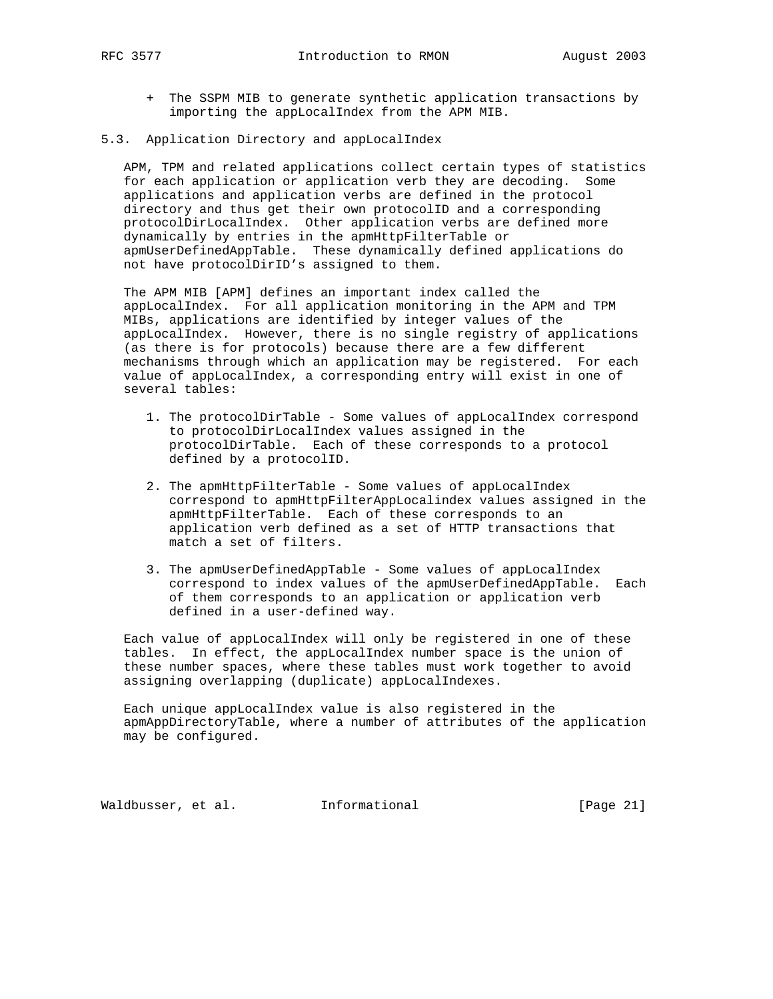- + The SSPM MIB to generate synthetic application transactions by importing the appLocalIndex from the APM MIB.
- 5.3. Application Directory and appLocalIndex

 APM, TPM and related applications collect certain types of statistics for each application or application verb they are decoding. Some applications and application verbs are defined in the protocol directory and thus get their own protocolID and a corresponding protocolDirLocalIndex. Other application verbs are defined more dynamically by entries in the apmHttpFilterTable or apmUserDefinedAppTable. These dynamically defined applications do not have protocolDirID's assigned to them.

 The APM MIB [APM] defines an important index called the appLocalIndex. For all application monitoring in the APM and TPM MIBs, applications are identified by integer values of the appLocalIndex. However, there is no single registry of applications (as there is for protocols) because there are a few different mechanisms through which an application may be registered. For each value of appLocalIndex, a corresponding entry will exist in one of several tables:

- 1. The protocolDirTable Some values of appLocalIndex correspond to protocolDirLocalIndex values assigned in the protocolDirTable. Each of these corresponds to a protocol defined by a protocolID.
- 2. The apmHttpFilterTable Some values of appLocalIndex correspond to apmHttpFilterAppLocalindex values assigned in the apmHttpFilterTable. Each of these corresponds to an application verb defined as a set of HTTP transactions that match a set of filters.
- 3. The apmUserDefinedAppTable Some values of appLocalIndex correspond to index values of the apmUserDefinedAppTable. Each of them corresponds to an application or application verb defined in a user-defined way.

 Each value of appLocalIndex will only be registered in one of these tables. In effect, the appLocalIndex number space is the union of these number spaces, where these tables must work together to avoid assigning overlapping (duplicate) appLocalIndexes.

 Each unique appLocalIndex value is also registered in the apmAppDirectoryTable, where a number of attributes of the application may be configured.

Waldbusser, et al.  $I_n$ Informational [Page 21]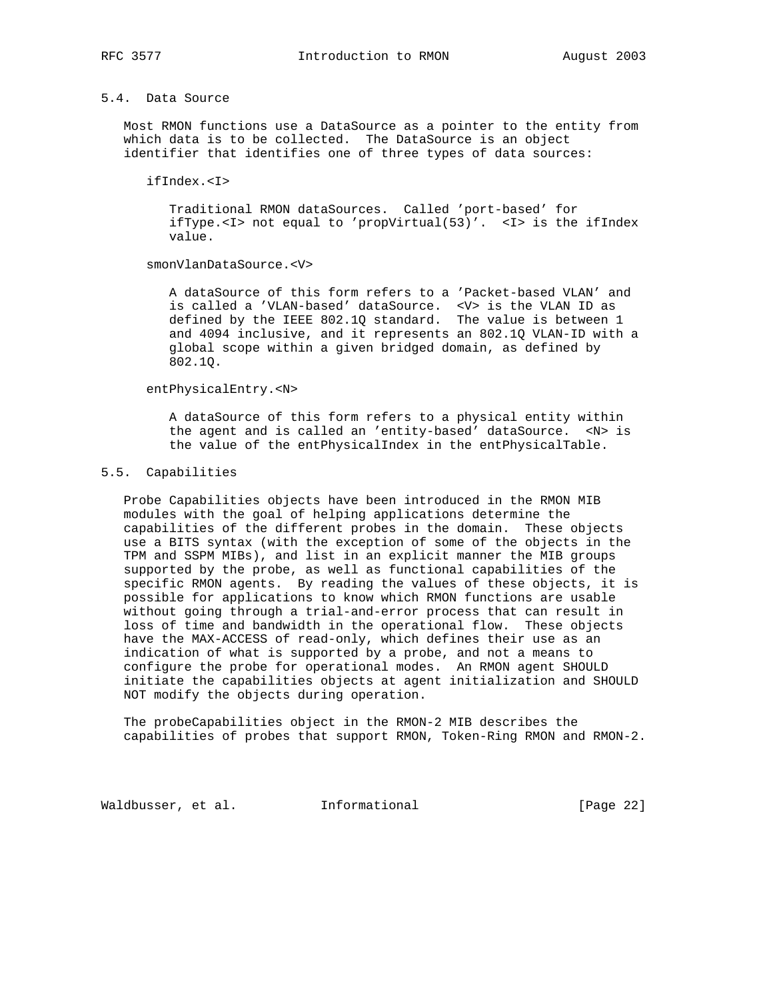# 5.4. Data Source

 Most RMON functions use a DataSource as a pointer to the entity from which data is to be collected. The DataSource is an object identifier that identifies one of three types of data sources:

ifIndex.<I>

 Traditional RMON dataSources. Called 'port-based' for ifType.<I> not equal to 'propVirtual(53)'. <I> is the ifIndex value.

smonVlanDataSource.<V>

 A dataSource of this form refers to a 'Packet-based VLAN' and is called a 'VLAN-based' dataSource. <V> is the VLAN ID as defined by the IEEE 802.1Q standard. The value is between 1 and 4094 inclusive, and it represents an 802.1Q VLAN-ID with a global scope within a given bridged domain, as defined by 802.1Q.

entPhysicalEntry.<N>

 A dataSource of this form refers to a physical entity within the agent and is called an 'entity-based' dataSource. <N> is the value of the entPhysicalIndex in the entPhysicalTable.

## 5.5. Capabilities

 Probe Capabilities objects have been introduced in the RMON MIB modules with the goal of helping applications determine the capabilities of the different probes in the domain. These objects use a BITS syntax (with the exception of some of the objects in the TPM and SSPM MIBs), and list in an explicit manner the MIB groups supported by the probe, as well as functional capabilities of the specific RMON agents. By reading the values of these objects, it is possible for applications to know which RMON functions are usable without going through a trial-and-error process that can result in loss of time and bandwidth in the operational flow. These objects have the MAX-ACCESS of read-only, which defines their use as an indication of what is supported by a probe, and not a means to configure the probe for operational modes. An RMON agent SHOULD initiate the capabilities objects at agent initialization and SHOULD NOT modify the objects during operation.

 The probeCapabilities object in the RMON-2 MIB describes the capabilities of probes that support RMON, Token-Ring RMON and RMON-2.

Waldbusser, et al. 1nformational 1999 [Page 22]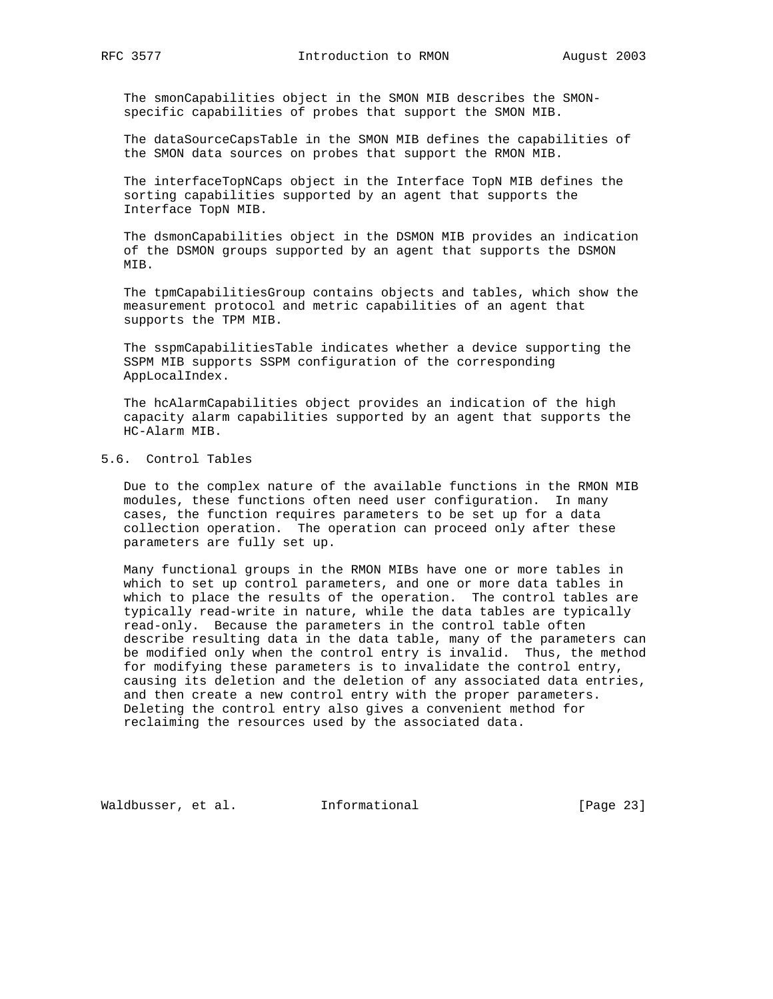The smonCapabilities object in the SMON MIB describes the SMON specific capabilities of probes that support the SMON MIB.

 The dataSourceCapsTable in the SMON MIB defines the capabilities of the SMON data sources on probes that support the RMON MIB.

 The interfaceTopNCaps object in the Interface TopN MIB defines the sorting capabilities supported by an agent that supports the Interface TopN MIB.

 The dsmonCapabilities object in the DSMON MIB provides an indication of the DSMON groups supported by an agent that supports the DSMON MIB.

 The tpmCapabilitiesGroup contains objects and tables, which show the measurement protocol and metric capabilities of an agent that supports the TPM MIB.

 The sspmCapabilitiesTable indicates whether a device supporting the SSPM MIB supports SSPM configuration of the corresponding AppLocalIndex.

 The hcAlarmCapabilities object provides an indication of the high capacity alarm capabilities supported by an agent that supports the HC-Alarm MIB.

# 5.6. Control Tables

 Due to the complex nature of the available functions in the RMON MIB modules, these functions often need user configuration. In many cases, the function requires parameters to be set up for a data collection operation. The operation can proceed only after these parameters are fully set up.

 Many functional groups in the RMON MIBs have one or more tables in which to set up control parameters, and one or more data tables in which to place the results of the operation. The control tables are typically read-write in nature, while the data tables are typically read-only. Because the parameters in the control table often describe resulting data in the data table, many of the parameters can be modified only when the control entry is invalid. Thus, the method for modifying these parameters is to invalidate the control entry, causing its deletion and the deletion of any associated data entries, and then create a new control entry with the proper parameters. Deleting the control entry also gives a convenient method for reclaiming the resources used by the associated data.

Waldbusser, et al.  $I_n$ Informational [Page 23]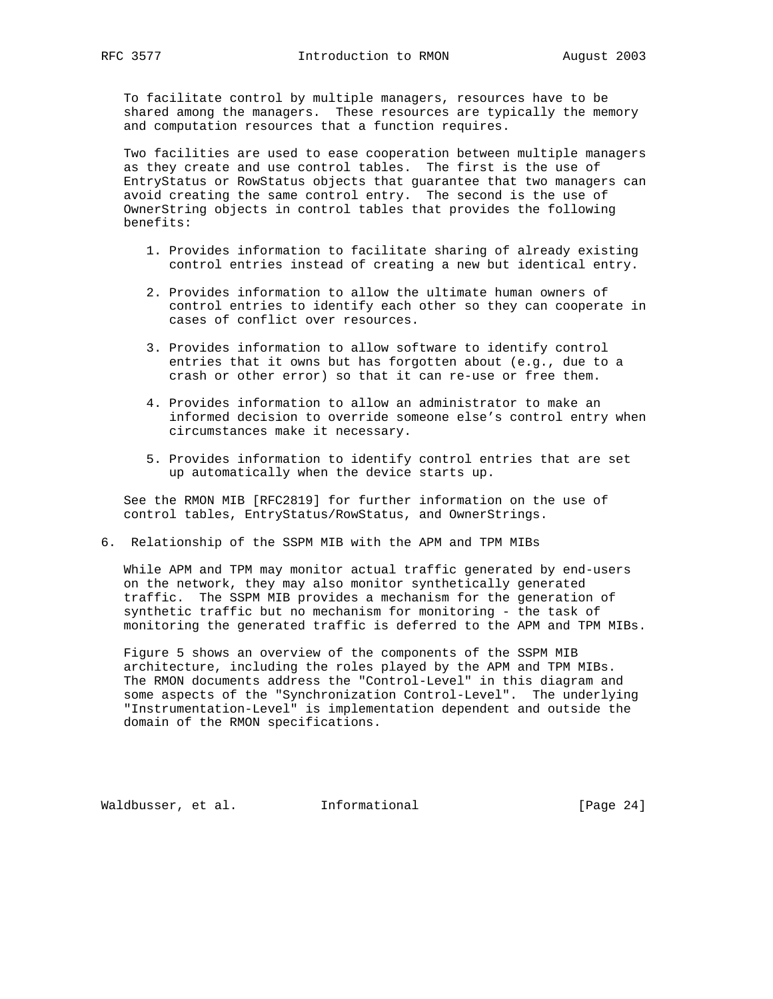To facilitate control by multiple managers, resources have to be shared among the managers. These resources are typically the memory and computation resources that a function requires.

 Two facilities are used to ease cooperation between multiple managers as they create and use control tables. The first is the use of EntryStatus or RowStatus objects that guarantee that two managers can avoid creating the same control entry. The second is the use of OwnerString objects in control tables that provides the following benefits:

- 1. Provides information to facilitate sharing of already existing control entries instead of creating a new but identical entry.
- 2. Provides information to allow the ultimate human owners of control entries to identify each other so they can cooperate in cases of conflict over resources.
- 3. Provides information to allow software to identify control entries that it owns but has forgotten about (e.g., due to a crash or other error) so that it can re-use or free them.
- 4. Provides information to allow an administrator to make an informed decision to override someone else's control entry when circumstances make it necessary.
- 5. Provides information to identify control entries that are set up automatically when the device starts up.

 See the RMON MIB [RFC2819] for further information on the use of control tables, EntryStatus/RowStatus, and OwnerStrings.

6. Relationship of the SSPM MIB with the APM and TPM MIBs

 While APM and TPM may monitor actual traffic generated by end-users on the network, they may also monitor synthetically generated traffic. The SSPM MIB provides a mechanism for the generation of synthetic traffic but no mechanism for monitoring - the task of monitoring the generated traffic is deferred to the APM and TPM MIBs.

 Figure 5 shows an overview of the components of the SSPM MIB architecture, including the roles played by the APM and TPM MIBs. The RMON documents address the "Control-Level" in this diagram and some aspects of the "Synchronization Control-Level". The underlying "Instrumentation-Level" is implementation dependent and outside the domain of the RMON specifications.

Waldbusser, et al.  $I_n$ Informational [Page 24]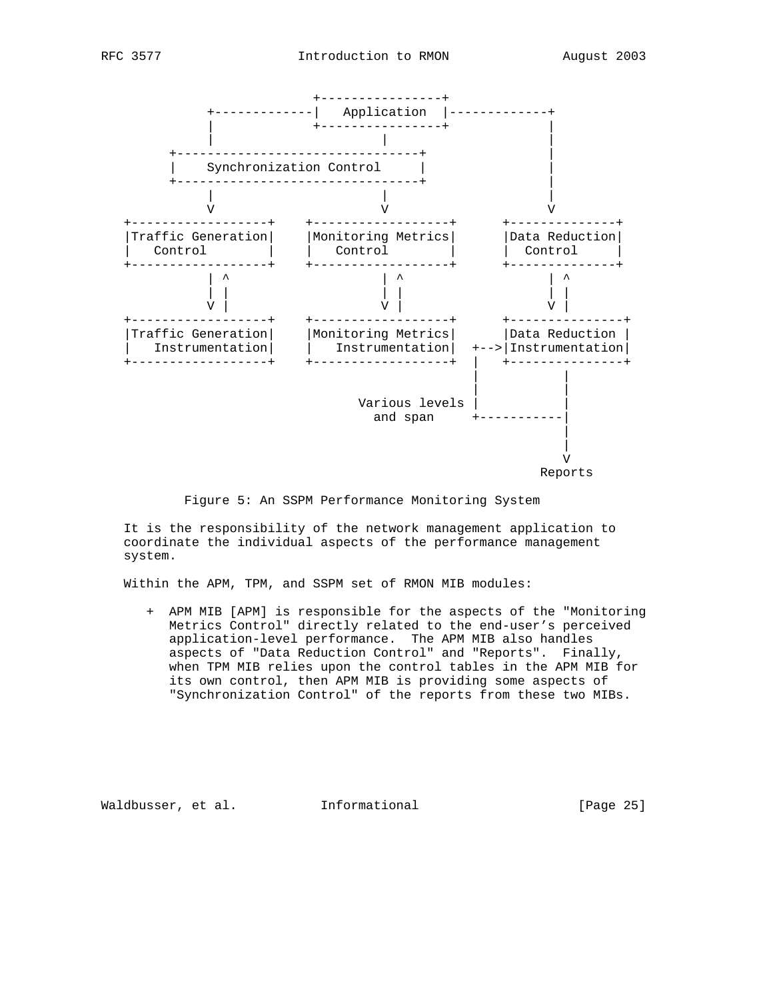

Figure 5: An SSPM Performance Monitoring System

 It is the responsibility of the network management application to coordinate the individual aspects of the performance management system.

Within the APM, TPM, and SSPM set of RMON MIB modules:

 + APM MIB [APM] is responsible for the aspects of the "Monitoring Metrics Control" directly related to the end-user's perceived application-level performance. The APM MIB also handles aspects of "Data Reduction Control" and "Reports". Finally, when TPM MIB relies upon the control tables in the APM MIB for its own control, then APM MIB is providing some aspects of "Synchronization Control" of the reports from these two MIBs.

Waldbusser, et al. 1nformational 1999 [Page 25]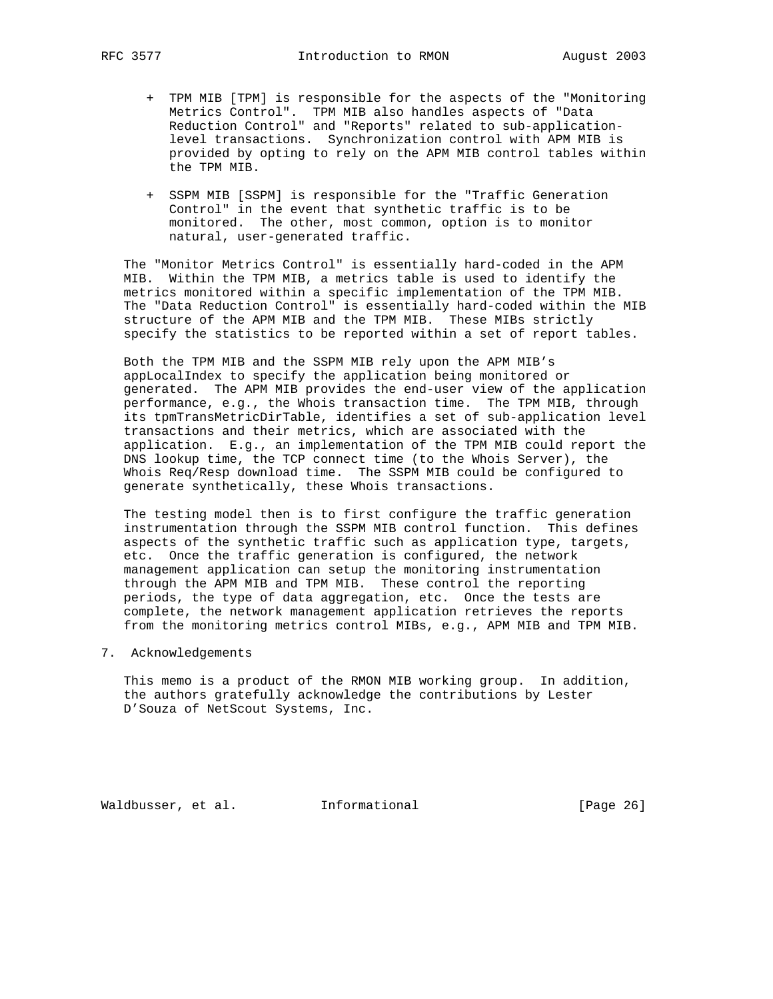- + TPM MIB [TPM] is responsible for the aspects of the "Monitoring Metrics Control". TPM MIB also handles aspects of "Data Reduction Control" and "Reports" related to sub-application level transactions. Synchronization control with APM MIB is provided by opting to rely on the APM MIB control tables within the TPM MIB.
	- + SSPM MIB [SSPM] is responsible for the "Traffic Generation Control" in the event that synthetic traffic is to be monitored. The other, most common, option is to monitor natural, user-generated traffic.

 The "Monitor Metrics Control" is essentially hard-coded in the APM MIB. Within the TPM MIB, a metrics table is used to identify the metrics monitored within a specific implementation of the TPM MIB. The "Data Reduction Control" is essentially hard-coded within the MIB structure of the APM MIB and the TPM MIB. These MIBs strictly specify the statistics to be reported within a set of report tables.

 Both the TPM MIB and the SSPM MIB rely upon the APM MIB's appLocalIndex to specify the application being monitored or generated. The APM MIB provides the end-user view of the application performance, e.g., the Whois transaction time. The TPM MIB, through its tpmTransMetricDirTable, identifies a set of sub-application level transactions and their metrics, which are associated with the application. E.g., an implementation of the TPM MIB could report the DNS lookup time, the TCP connect time (to the Whois Server), the Whois Req/Resp download time. The SSPM MIB could be configured to generate synthetically, these Whois transactions.

 The testing model then is to first configure the traffic generation instrumentation through the SSPM MIB control function. This defines aspects of the synthetic traffic such as application type, targets, etc. Once the traffic generation is configured, the network management application can setup the monitoring instrumentation through the APM MIB and TPM MIB. These control the reporting periods, the type of data aggregation, etc. Once the tests are complete, the network management application retrieves the reports from the monitoring metrics control MIBs, e.g., APM MIB and TPM MIB.

7. Acknowledgements

 This memo is a product of the RMON MIB working group. In addition, the authors gratefully acknowledge the contributions by Lester D'Souza of NetScout Systems, Inc.

Waldbusser, et al. **Informational** [Page 26]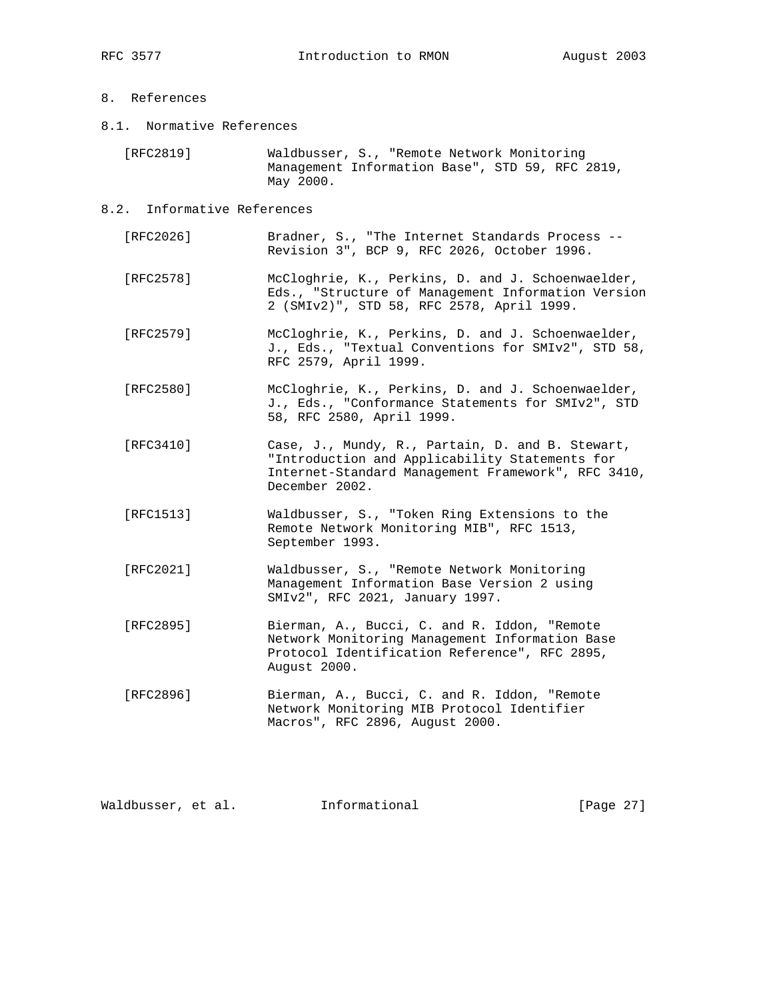# 8. References

8.1. Normative References

 [RFC2819] Waldbusser, S., "Remote Network Monitoring Management Information Base", STD 59, RFC 2819, May 2000.

- 8.2. Informative References
	- [RFC2026] Bradner, S., "The Internet Standards Process -- Revision 3", BCP 9, RFC 2026, October 1996.
	- [RFC2578] McCloghrie, K., Perkins, D. and J. Schoenwaelder, Eds., "Structure of Management Information Version 2 (SMIv2)", STD 58, RFC 2578, April 1999.
	- [RFC2579] McCloghrie, K., Perkins, D. and J. Schoenwaelder, J., Eds., "Textual Conventions for SMIv2", STD 58, RFC 2579, April 1999.
	- [RFC2580] McCloghrie, K., Perkins, D. and J. Schoenwaelder, J., Eds., "Conformance Statements for SMIv2", STD 58, RFC 2580, April 1999.
	- [RFC3410] Case, J., Mundy, R., Partain, D. and B. Stewart, "Introduction and Applicability Statements for Internet-Standard Management Framework", RFC 3410, December 2002.
	- [RFC1513] Waldbusser, S., "Token Ring Extensions to the Remote Network Monitoring MIB", RFC 1513, September 1993.
	- [RFC2021] Waldbusser, S., "Remote Network Monitoring Management Information Base Version 2 using SMIv2", RFC 2021, January 1997.
	- [RFC2895] Bierman, A., Bucci, C. and R. Iddon, "Remote Network Monitoring Management Information Base Protocol Identification Reference", RFC 2895, August 2000.
	- [RFC2896] Bierman, A., Bucci, C. and R. Iddon, "Remote Network Monitoring MIB Protocol Identifier Macros", RFC 2896, August 2000.

Waldbusser, et al.  $I_n$ Informational [Page 27]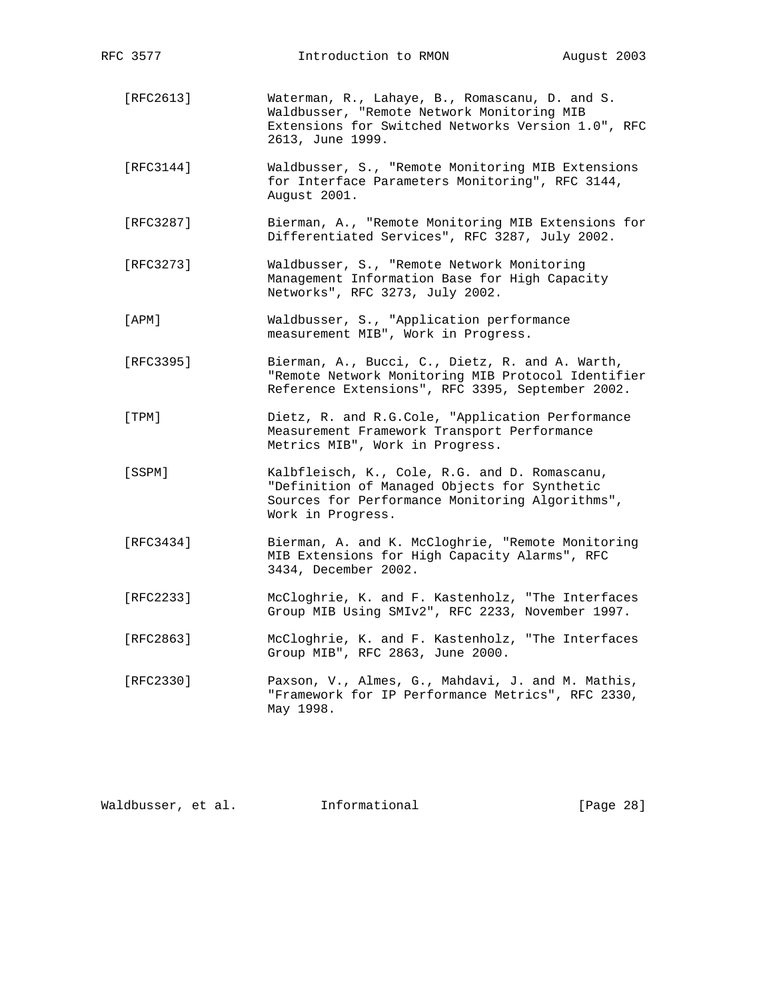| RFC 3577    | Introduction to RMON                                                                                                                                                   | August 2003 |  |  |  |  |
|-------------|------------------------------------------------------------------------------------------------------------------------------------------------------------------------|-------------|--|--|--|--|
| [RFC2613]   | Waterman, R., Lahaye, B., Romascanu, D. and S.<br>Waldbusser, "Remote Network Monitoring MIB<br>Extensions for Switched Networks Version 1.0", RFC<br>2613, June 1999. |             |  |  |  |  |
| [RFC3144]   | Waldbusser, S., "Remote Monitoring MIB Extensions<br>for Interface Parameters Monitoring", RFC 3144,<br>August 2001.                                                   |             |  |  |  |  |
| [RFC3287]   | Bierman, A., "Remote Monitoring MIB Extensions for<br>Differentiated Services", RFC 3287, July 2002.                                                                   |             |  |  |  |  |
| [RFC3273]   | Waldbusser, S., "Remote Network Monitoring<br>Management Information Base for High Capacity<br>Networks", RFC 3273, July 2002.                                         |             |  |  |  |  |
| $[$ APM $]$ | Waldbusser, S., "Application performance<br>measurement MIB", Work in Progress.                                                                                        |             |  |  |  |  |
| [RFC3395]   | Bierman, A., Bucci, C., Dietz, R. and A. Warth,<br>"Remote Network Monitoring MIB Protocol Identifier<br>Reference Extensions", RFC 3395, September 2002.              |             |  |  |  |  |
| [TPM]       | Dietz, R. and R.G.Cole, "Application Performance<br>Measurement Framework Transport Performance<br>Metrics MIB", Work in Progress.                                     |             |  |  |  |  |
| [SSPM]      | Kalbfleisch, K., Cole, R.G. and D. Romascanu,<br>"Definition of Managed Objects for Synthetic<br>Sources for Performance Monitoring Algorithms",<br>Work in Progress.  |             |  |  |  |  |
| [RFC3434]   | Bierman, A. and K. McCloghrie, "Remote Monitoring<br>MIB Extensions for High Capacity Alarms", RFC<br>3434, December 2002.                                             |             |  |  |  |  |
| [RFC2233]   | McCloghrie, K. and F. Kastenholz, "The Interfaces<br>Group MIB Using SMIv2", RFC 2233, November 1997.                                                                  |             |  |  |  |  |
| [RFC2863]   | McCloghrie, K. and F. Kastenholz, "The Interfaces<br>Group MIB", RFC 2863, June 2000.                                                                                  |             |  |  |  |  |
| [RFC2330]   | Paxson, V., Almes, G., Mahdavi, J. and M. Mathis,<br>"Framework for IP Performance Metrics", RFC 2330,<br>May 1998.                                                    |             |  |  |  |  |

Waldbusser, et al. 1nformational 1999 [Page 28]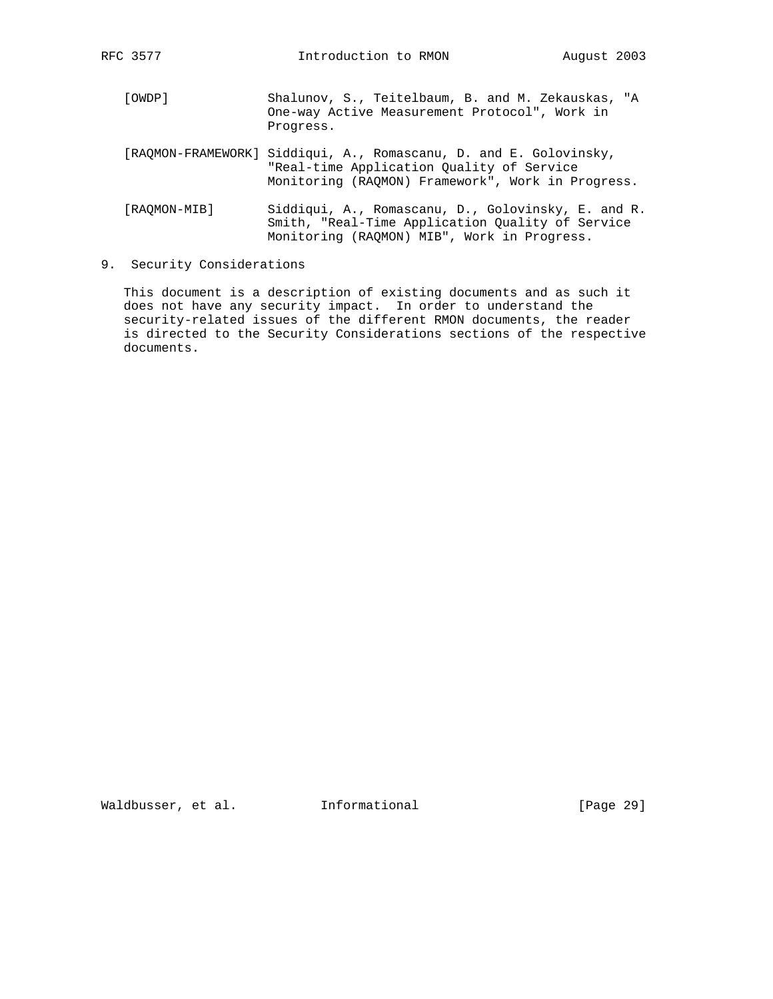- [OWDP] Shalunov, S., Teitelbaum, B. and M. Zekauskas, "A One-way Active Measurement Protocol", Work in Progress.
- [RAQMON-FRAMEWORK] Siddiqui, A., Romascanu, D. and E. Golovinsky, "Real-time Application Quality of Service Monitoring (RAQMON) Framework", Work in Progress.
- [RAQMON-MIB] Siddiqui, A., Romascanu, D., Golovinsky, E. and R. Smith, "Real-Time Application Quality of Service Monitoring (RAQMON) MIB", Work in Progress.
- 9. Security Considerations

 This document is a description of existing documents and as such it does not have any security impact. In order to understand the security-related issues of the different RMON documents, the reader is directed to the Security Considerations sections of the respective documents.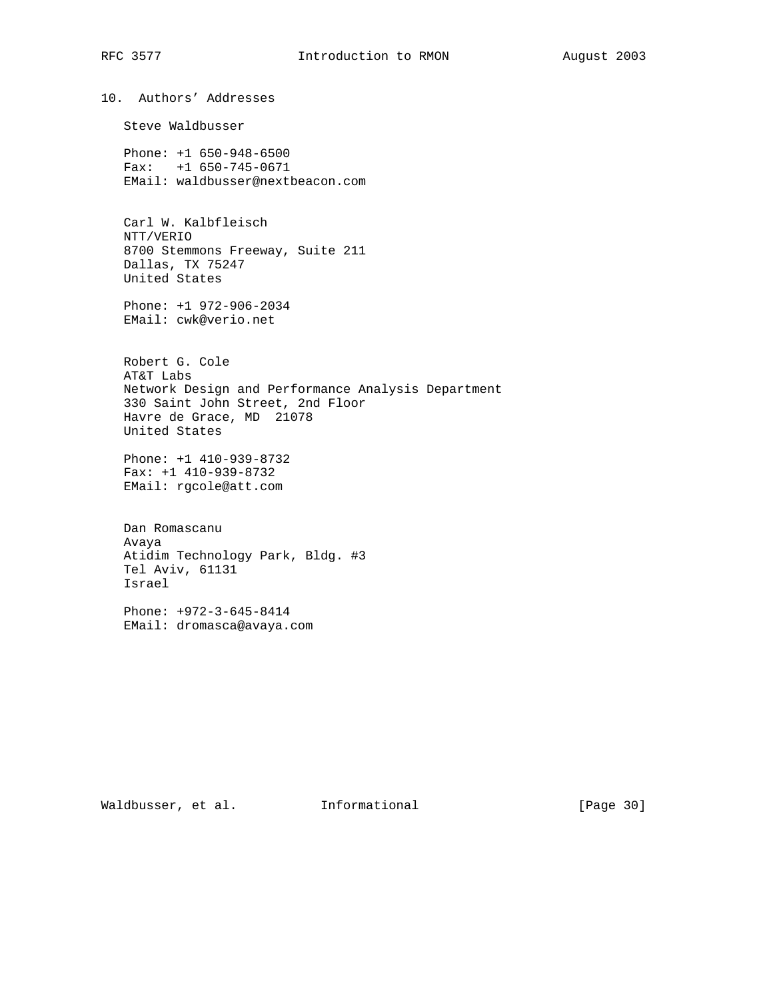10. Authors' Addresses Steve Waldbusser Phone: +1 650-948-6500 Fax: +1 650-745-0671 EMail: waldbusser@nextbeacon.com Carl W. Kalbfleisch NTT/VERIO 8700 Stemmons Freeway, Suite 211 Dallas, TX 75247 United States Phone: +1 972-906-2034 EMail: cwk@verio.net Robert G. Cole AT&T Labs Network Design and Performance Analysis Department 330 Saint John Street, 2nd Floor Havre de Grace, MD 21078 United States Phone: +1 410-939-8732 Fax: +1 410-939-8732 EMail: rgcole@att.com Dan Romascanu Avaya

 Atidim Technology Park, Bldg. #3 Tel Aviv, 61131 Israel

 Phone: +972-3-645-8414 EMail: dromasca@avaya.com

Waldbusser, et al. Informational [Page 30]